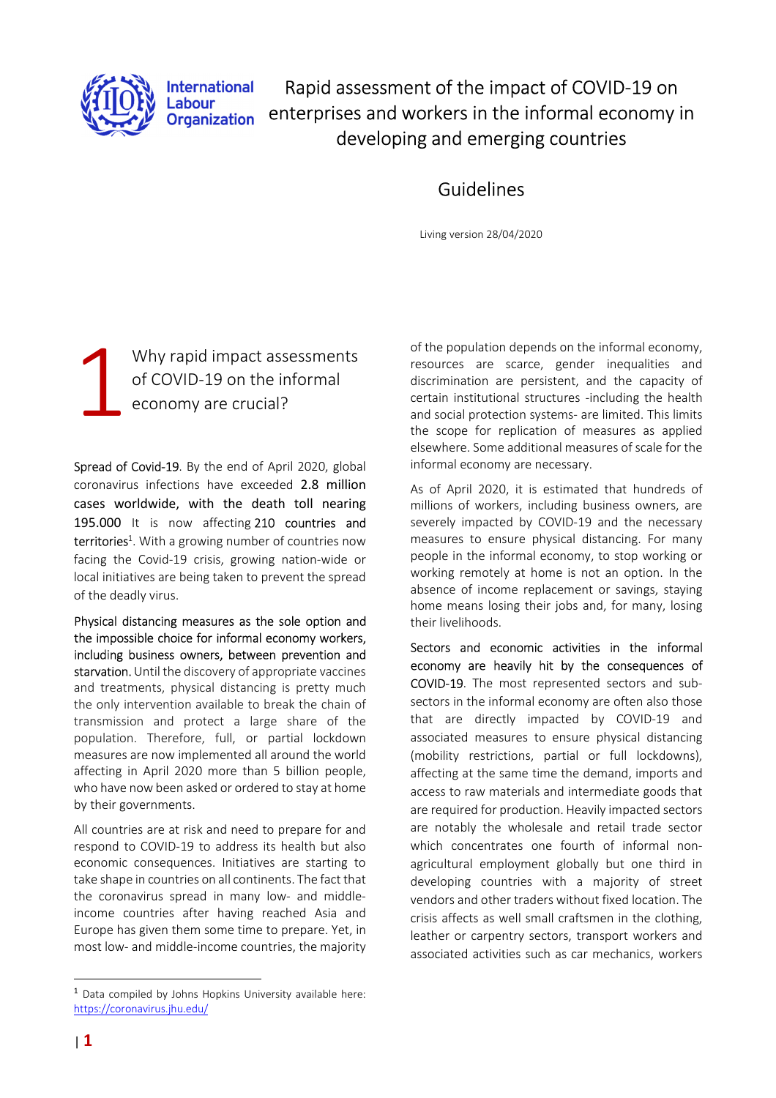

**International** Labour **Organization** 

Rapid assessment of the impact of COVID-19 on enterprises and workers in the informal economy in developing and emerging countries

# Guidelines

Living version 28/04/2020

Why rapid impact assessments of COVID-19 on the informal economy are crucial? 1

Spread of Covid-19. By the end of April 2020, global coronavirus infections have exceeded 2.8 million cases worldwide, with the death toll nearing 195.000 It is now affecting 210 countries and territories<sup>1</sup>. With a growing number of countries now facing the Covid-19 crisis, growing nation-wide or local initiatives are being taken to prevent the spread of the deadly virus.

Physical distancing measures as the sole option and the impossible choice for informal economy workers, including business owners, between prevention and starvation. Until the discovery of appropriate vaccines and treatments, physical distancing is pretty much the only intervention available to break the chain of transmission and protect a large share of the population. Therefore, full, or partial lockdown measures are now implemented all around the world affecting in April 2020 more than 5 billion people, who have now been asked or ordered to stay at home by their governments.

All countries are at risk and need to prepare for and respond to COVID-19 to address its health but also economic consequences. Initiatives are starting to take shape in countries on all continents. The fact that the coronavirus spread in many low- and middleincome countries after having reached Asia and Europe has given them some time to prepare. Yet, in most low- and middle-income countries, the majority

<sup>1</sup> Data compiled by Johns Hopkins University available here: https://coronavirus.jhu.edu/

of the population depends on the informal economy, resources are scarce, gender inequalities and discrimination are persistent, and the capacity of certain institutional structures -including the health and social protection systems- are limited. This limits the scope for replication of measures as applied elsewhere. Some additional measures of scale for the informal economy are necessary.

As of April 2020, it is estimated that hundreds of millions of workers, including business owners, are severely impacted by COVID-19 and the necessary measures to ensure physical distancing. For many people in the informal economy, to stop working or working remotely at home is not an option. In the absence of income replacement or savings, staying home means losing their jobs and, for many, losing their livelihoods.

Sectors and economic activities in the informal economy are heavily hit by the consequences of COVID-19. The most represented sectors and subsectors in the informal economy are often also those that are directly impacted by COVID-19 and associated measures to ensure physical distancing (mobility restrictions, partial or full lockdowns), affecting at the same time the demand, imports and access to raw materials and intermediate goods that are required for production. Heavily impacted sectors are notably the wholesale and retail trade sector which concentrates one fourth of informal nonagricultural employment globally but one third in developing countries with a majority of street vendors and other traders without fixed location. The crisis affects as well small craftsmen in the clothing, leather or carpentry sectors, transport workers and associated activities such as car mechanics, workers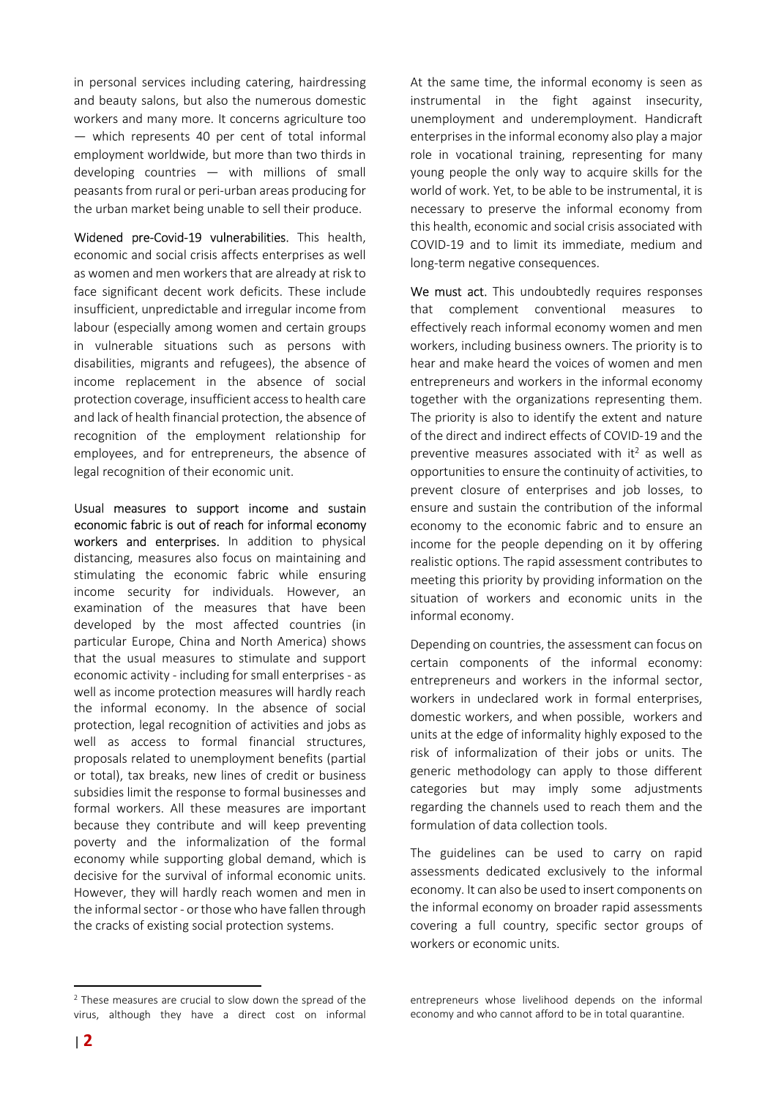in personal services including catering, hairdressing and beauty salons, but also the numerous domestic workers and many more. It concerns agriculture too — which represents 40 per cent of total informal employment worldwide, but more than two thirds in developing countries — with millions of small peasants from rural or peri-urban areas producing for the urban market being unable to sell their produce.

Widened pre-Covid-19 vulnerabilities. This health, economic and social crisis affects enterprises as well as women and men workers that are already at risk to face significant decent work deficits. These include insufficient, unpredictable and irregular income from labour (especially among women and certain groups in vulnerable situations such as persons with disabilities, migrants and refugees), the absence of income replacement in the absence of social protection coverage, insufficient access to health care and lack of health financial protection, the absence of recognition of the employment relationship for employees, and for entrepreneurs, the absence of legal recognition of their economic unit.

Usual measures to support income and sustain economic fabric is out of reach for informal economy workers and enterprises. In addition to physical distancing, measures also focus on maintaining and stimulating the economic fabric while ensuring income security for individuals. However, an examination of the measures that have been developed by the most affected countries (in particular Europe, China and North America) shows that the usual measures to stimulate and support economic activity - including for small enterprises - as well as income protection measures will hardly reach the informal economy. In the absence of social protection, legal recognition of activities and jobs as well as access to formal financial structures, proposals related to unemployment benefits (partial or total), tax breaks, new lines of credit or business subsidies limit the response to formal businesses and formal workers. All these measures are important because they contribute and will keep preventing poverty and the informalization of the formal economy while supporting global demand, which is decisive for the survival of informal economic units. However, they will hardly reach women and men in the informal sector - or those who have fallen through the cracks of existing social protection systems.

At the same time, the informal economy is seen as instrumental in the fight against insecurity, unemployment and underemployment. Handicraft enterprises in the informal economy also play a major role in vocational training, representing for many young people the only way to acquire skills for the world of work. Yet, to be able to be instrumental, it is necessary to preserve the informal economy from this health, economic and social crisis associated with COVID-19 and to limit its immediate, medium and long-term negative consequences.

We must act. This undoubtedly requires responses that complement conventional measures to effectively reach informal economy women and men workers, including business owners. The priority is to hear and make heard the voices of women and men entrepreneurs and workers in the informal economy together with the organizations representing them. The priority is also to identify the extent and nature of the direct and indirect effects of COVID-19 and the preventive measures associated with it<sup>2</sup> as well as opportunities to ensure the continuity of activities, to prevent closure of enterprises and job losses, to ensure and sustain the contribution of the informal economy to the economic fabric and to ensure an income for the people depending on it by offering realistic options. The rapid assessment contributes to meeting this priority by providing information on the situation of workers and economic units in the informal economy.

Depending on countries, the assessment can focus on certain components of the informal economy: entrepreneurs and workers in the informal sector, workers in undeclared work in formal enterprises, domestic workers, and when possible, workers and units at the edge of informality highly exposed to the risk of informalization of their jobs or units. The generic methodology can apply to those different categories but may imply some adjustments regarding the channels used to reach them and the formulation of data collection tools.

The guidelines can be used to carry on rapid assessments dedicated exclusively to the informal economy. It can also be used to insert components on the informal economy on broader rapid assessments covering a full country, specific sector groups of workers or economic units.

entrepreneurs whose livelihood depends on the informal economy and who cannot afford to be in total quarantine.

<sup>2</sup> These measures are crucial to slow down the spread of the virus, although they have a direct cost on informal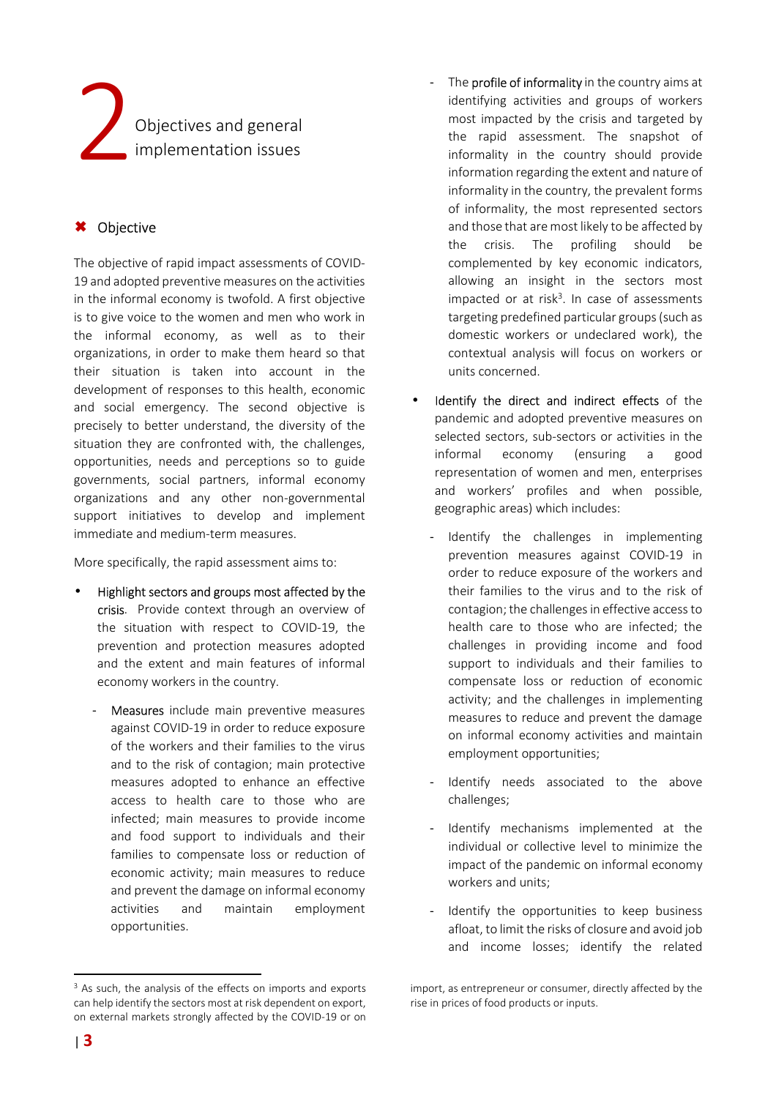

# Objective

The objective of rapid impact assessments of COVID-19 and adopted preventive measures on the activities in the informal economy is twofold. A first objective is to give voice to the women and men who work in the informal economy, as well as to their organizations, in order to make them heard so that their situation is taken into account in the development of responses to this health, economic and social emergency. The second objective is precisely to better understand, the diversity of the situation they are confronted with, the challenges, opportunities, needs and perceptions so to guide governments, social partners, informal economy organizations and any other non-governmental support initiatives to develop and implement immediate and medium-term measures.

More specifically, the rapid assessment aims to:

- Highlight sectors and groups most affected by the crisis. Provide context through an overview of the situation with respect to COVID-19, the prevention and protection measures adopted and the extent and main features of informal economy workers in the country.
	- Measures include main preventive measures against COVID-19 in order to reduce exposure of the workers and their families to the virus and to the risk of contagion; main protective measures adopted to enhance an effective access to health care to those who are infected; main measures to provide income and food support to individuals and their families to compensate loss or reduction of economic activity; main measures to reduce and prevent the damage on informal economy activities and maintain employment opportunities.
- The **profile of informality** in the country aims at identifying activities and groups of workers most impacted by the crisis and targeted by the rapid assessment. The snapshot of informality in the country should provide information regarding the extent and nature of informality in the country, the prevalent forms of informality, the most represented sectors and those that are most likely to be affected by the crisis. The profiling should be complemented by key economic indicators, allowing an insight in the sectors most impacted or at risk<sup>3</sup>. In case of assessments targeting predefined particular groups (such as domestic workers or undeclared work), the contextual analysis will focus on workers or units concerned.
- Identify the direct and indirect effects of the pandemic and adopted preventive measures on selected sectors, sub-sectors or activities in the informal economy (ensuring a good representation of women and men, enterprises and workers' profiles and when possible, geographic areas) which includes:
	- Identify the challenges in implementing prevention measures against COVID-19 in order to reduce exposure of the workers and their families to the virus and to the risk of contagion; the challenges in effective access to health care to those who are infected; the challenges in providing income and food support to individuals and their families to compensate loss or reduction of economic activity; and the challenges in implementing measures to reduce and prevent the damage on informal economy activities and maintain employment opportunities;
	- Identify needs associated to the above challenges;
	- Identify mechanisms implemented at the individual or collective level to minimize the impact of the pandemic on informal economy workers and units;
	- Identify the opportunities to keep business afloat, to limit the risks of closure and avoid job and income losses; identify the related

<sup>&</sup>lt;sup>3</sup> As such, the analysis of the effects on imports and exports can help identify the sectors most at risk dependent on export, on external markets strongly affected by the COVID-19 or on

import, as entrepreneur or consumer, directly affected by the rise in prices of food products or inputs.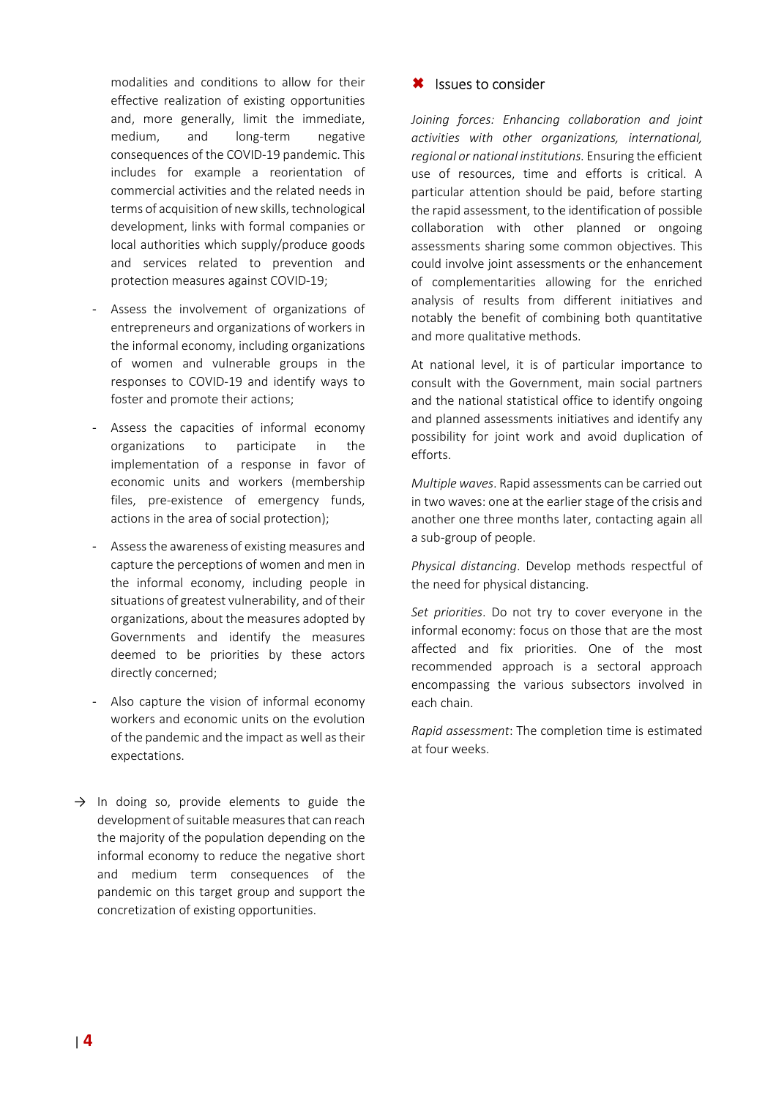modalities and conditions to allow for their effective realization of existing opportunities and, more generally, limit the immediate, medium, and long-term negative consequences of the COVID-19 pandemic. This includes for example a reorientation of commercial activities and the related needs in terms of acquisition of new skills, technological development, links with formal companies or local authorities which supply/produce goods and services related to prevention and protection measures against COVID-19;

- Assess the involvement of organizations of entrepreneurs and organizations of workers in the informal economy, including organizations of women and vulnerable groups in the responses to COVID-19 and identify ways to foster and promote their actions;
- Assess the capacities of informal economy organizations to participate in the implementation of a response in favor of economic units and workers (membership files, pre-existence of emergency funds, actions in the area of social protection);
- Assess the awareness of existing measures and capture the perceptions of women and men in the informal economy, including people in situations of greatest vulnerability, and of their organizations, about the measures adopted by Governments and identify the measures deemed to be priorities by these actors directly concerned;
- Also capture the vision of informal economy workers and economic units on the evolution of the pandemic and the impact as well as their expectations.
- $\rightarrow$  In doing so, provide elements to guide the development of suitable measures that can reach the majority of the population depending on the informal economy to reduce the negative short and medium term consequences of the pandemic on this target group and support the concretization of existing opportunities.

### **\*** Issues to consider

*Joining forces: Enhancing collaboration and joint activities with other organizations, international, regional or national institutions.* Ensuring the efficient use of resources, time and efforts is critical. A particular attention should be paid, before starting the rapid assessment, to the identification of possible collaboration with other planned or ongoing assessments sharing some common objectives. This could involve joint assessments or the enhancement of complementarities allowing for the enriched analysis of results from different initiatives and notably the benefit of combining both quantitative and more qualitative methods.

At national level, it is of particular importance to consult with the Government, main social partners and the national statistical office to identify ongoing and planned assessments initiatives and identify any possibility for joint work and avoid duplication of efforts.

*Multiple waves*. Rapid assessments can be carried out in two waves: one at the earlier stage of the crisis and another one three months later, contacting again all a sub-group of people.

*Physical distancing*. Develop methods respectful of the need for physical distancing.

*Set priorities*. Do not try to cover everyone in the informal economy: focus on those that are the most affected and fix priorities. One of the most recommended approach is a sectoral approach encompassing the various subsectors involved in each chain.

*Rapid assessment*: The completion time is estimated at four weeks.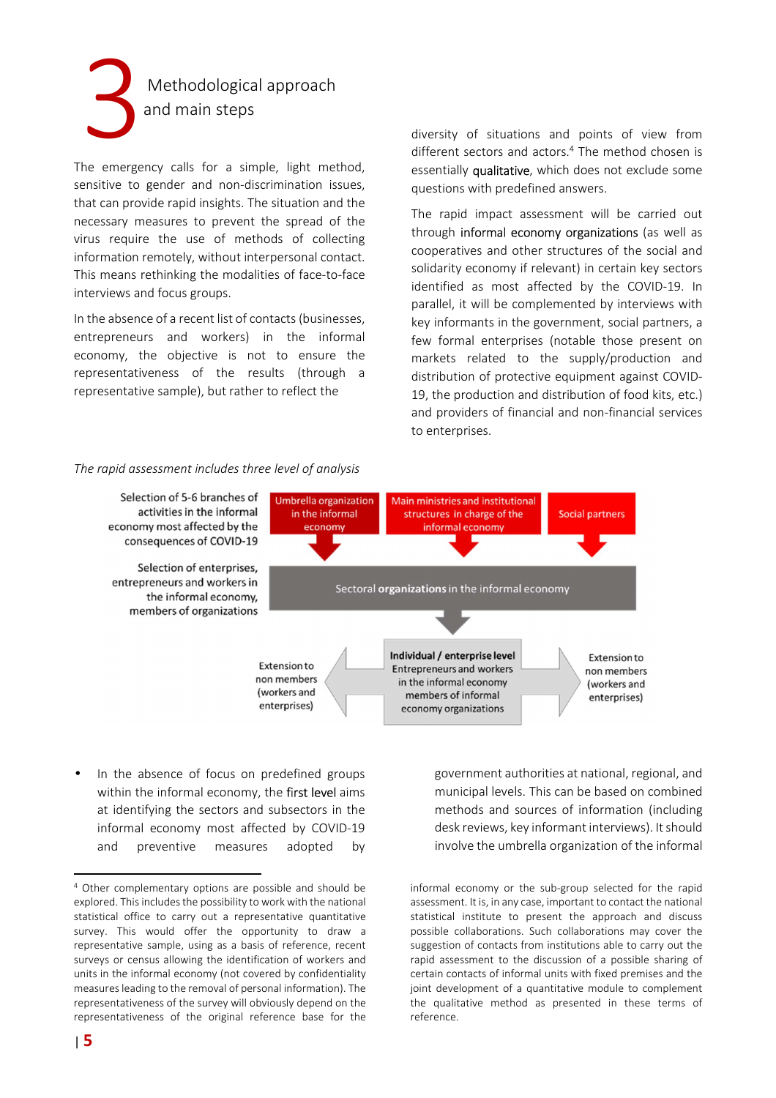

The emergency calls for a simple, light method, sensitive to gender and non-discrimination issues, that can provide rapid insights. The situation and the necessary measures to prevent the spread of the virus require the use of methods of collecting information remotely, without interpersonal contact. This means rethinking the modalities of face-to-face interviews and focus groups.

In the absence of a recent list of contacts (businesses, entrepreneurs and workers) in the informal economy, the objective is not to ensure the representativeness of the results (through a representative sample), but rather to reflect the

diversity of situations and points of view from different sectors and actors.<sup>4</sup> The method chosen is essentially qualitative, which does not exclude some questions with predefined answers.

The rapid impact assessment will be carried out through informal economy organizations (as well as cooperatives and other structures of the social and solidarity economy if relevant) in certain key sectors identified as most affected by the COVID-19. In parallel, it will be complemented by interviews with key informants in the government, social partners, a few formal enterprises (notable those present on markets related to the supply/production and distribution of protective equipment against COVID-19, the production and distribution of food kits, etc.) and providers of financial and non-financial services to enterprises.

#### *The rapid assessment includes three level of analysis*



In the absence of focus on predefined groups within the informal economy, the first level aims at identifying the sectors and subsectors in the informal economy most affected by COVID-19 and preventive measures adopted by government authorities at national, regional, and municipal levels. This can be based on combined methods and sources of information (including desk reviews, key informant interviews). It should involve the umbrella organization of the informal

informal economy or the sub-group selected for the rapid assessment. It is, in any case, important to contact the national statistical institute to present the approach and discuss possible collaborations. Such collaborations may cover the suggestion of contacts from institutions able to carry out the rapid assessment to the discussion of a possible sharing of certain contacts of informal units with fixed premises and the joint development of a quantitative module to complement the qualitative method as presented in these terms of reference.

<sup>4</sup> Other complementary options are possible and should be explored. This includes the possibility to work with the national statistical office to carry out a representative quantitative survey. This would offer the opportunity to draw a representative sample, using as a basis of reference, recent surveys or census allowing the identification of workers and units in the informal economy (not covered by confidentiality measures leading to the removal of personal information). The representativeness of the survey will obviously depend on the representativeness of the original reference base for the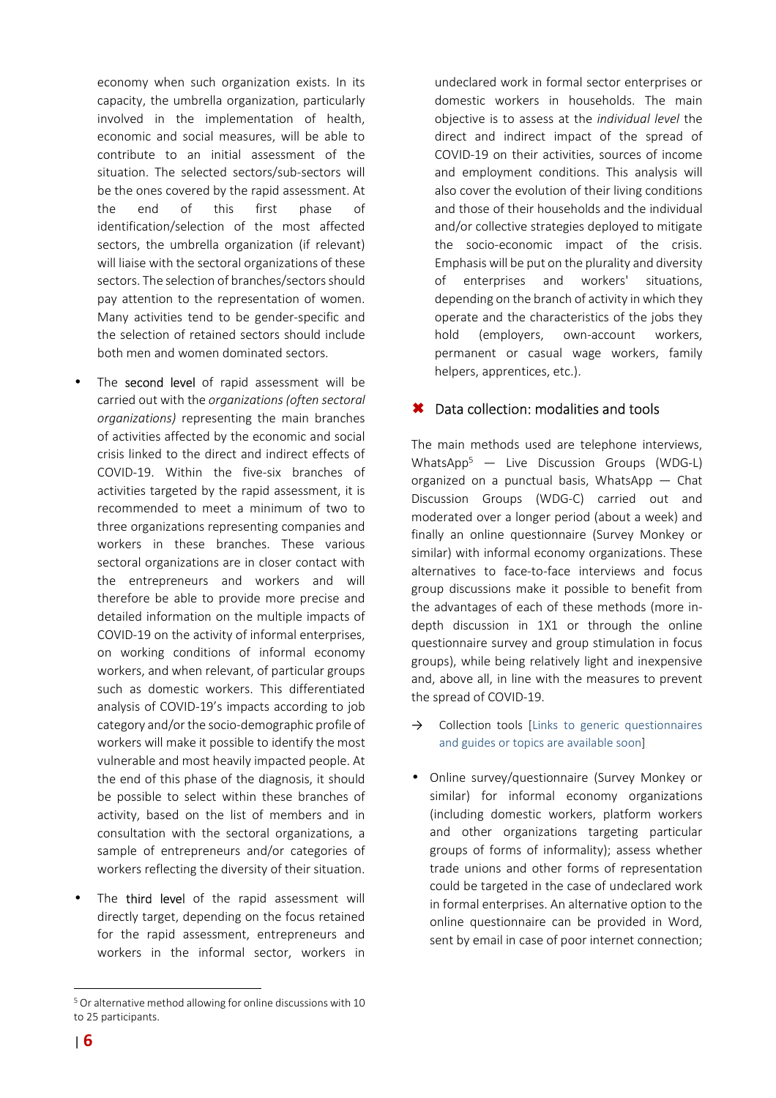economy when such organization exists. In its capacity, the umbrella organization, particularly involved in the implementation of health, economic and social measures, will be able to contribute to an initial assessment of the situation. The selected sectors/sub-sectors will be the ones covered by the rapid assessment. At the end of this first phase of identification/selection of the most affected sectors, the umbrella organization (if relevant) will liaise with the sectoral organizations of these sectors. The selection of branches/sectors should pay attention to the representation of women. Many activities tend to be gender-specific and the selection of retained sectors should include both men and women dominated sectors.

- The second level of rapid assessment will be carried out with the *organizations (often sectoral organizations)* representing the main branches of activities affected by the economic and social crisis linked to the direct and indirect effects of COVID-19. Within the five-six branches of activities targeted by the rapid assessment, it is recommended to meet a minimum of two to three organizations representing companies and workers in these branches. These various sectoral organizations are in closer contact with the entrepreneurs and workers and will therefore be able to provide more precise and detailed information on the multiple impacts of COVID-19 on the activity of informal enterprises, on working conditions of informal economy workers, and when relevant, of particular groups such as domestic workers. This differentiated analysis of COVID-19's impacts according to job category and/or the socio-demographic profile of workers will make it possible to identify the most vulnerable and most heavily impacted people. At the end of this phase of the diagnosis, it should be possible to select within these branches of activity, based on the list of members and in consultation with the sectoral organizations, a sample of entrepreneurs and/or categories of workers reflecting the diversity of their situation.
- The third level of the rapid assessment will directly target, depending on the focus retained for the rapid assessment, entrepreneurs and workers in the informal sector, workers in

undeclared work in formal sector enterprises or domestic workers in households. The main objective is to assess at the *individual level* the direct and indirect impact of the spread of COVID-19 on their activities, sources of income and employment conditions. This analysis will also cover the evolution of their living conditions and those of their households and the individual and/or collective strategies deployed to mitigate the socio-economic impact of the crisis. Emphasis will be put on the plurality and diversity of enterprises and workers' situations, depending on the branch of activity in which they operate and the characteristics of the jobs they hold (employers, own-account workers, permanent or casual wage workers, family helpers, apprentices, etc.).

# **\*** Data collection: modalities and tools

The main methods used are telephone interviews, WhatsApp<sup>5</sup> — Live Discussion Groups (WDG-L) organized on a punctual basis, WhatsApp — Chat Discussion Groups (WDG-C) carried out and moderated over a longer period (about a week) and finally an online questionnaire (Survey Monkey or similar) with informal economy organizations. These alternatives to face-to-face interviews and focus group discussions make it possible to benefit from the advantages of each of these methods (more indepth discussion in 1X1 or through the online questionnaire survey and group stimulation in focus groups), while being relatively light and inexpensive and, above all, in line with the measures to prevent the spread of COVID-19.

- $\rightarrow$  Collection tools [Links to generic questionnaires] and guides or topics are available soon]
- Online survey/questionnaire (Survey Monkey or similar) for informal economy organizations (including domestic workers, platform workers and other organizations targeting particular groups of forms of informality); assess whether trade unions and other forms of representation could be targeted in the case of undeclared work in formal enterprises. An alternative option to the online questionnaire can be provided in Word, sent by email in case of poor internet connection;

<sup>&</sup>lt;sup>5</sup> Or alternative method allowing for online discussions with 10 to 25 participants.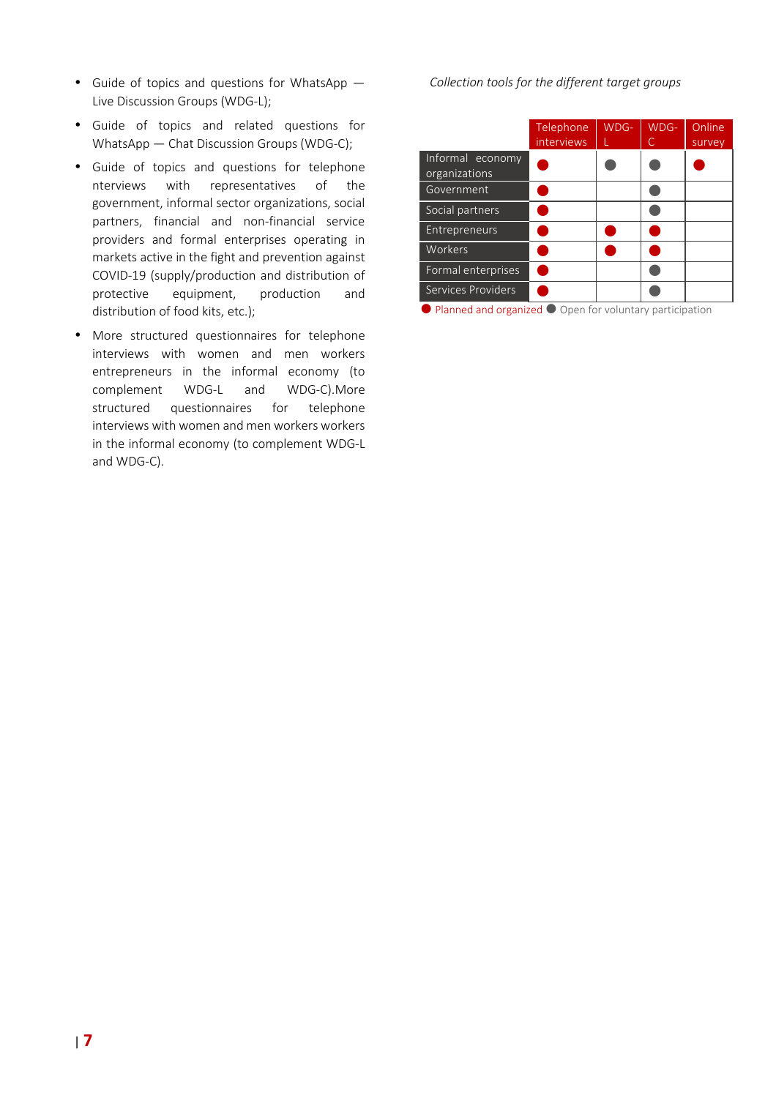- Guide of topics and questions for WhatsApp Live Discussion Groups (WDG-L);
- Guide of topics and related questions for WhatsApp — Chat Discussion Groups (WDG-C);
- Guide of topics and questions for telephone nterviews with representatives of the government, informal sector organizations, social partners, financial and non-financial service providers and formal enterprises operating in markets active in the fight and prevention against COVID-19 (supply/production and distribution of protective equipment, production and distribution of food kits, etc.);
- More structured questionnaires for telephone interviews with women and men workers entrepreneurs in the informal economy (to complement WDG-L and WDG-C).More structured questionnaires for telephone interviews with women and men workers workers in the informal economy (to complement WDG-L and WDG-C).

*Collection tools for the different target groups*

|                                   | Telephone<br><i>interviews</i> | WDG- | WDG-<br>C | Online<br>survey |
|-----------------------------------|--------------------------------|------|-----------|------------------|
| Informal economy<br>organizations |                                |      |           |                  |
| Government                        |                                |      |           |                  |
| Social partners                   |                                |      |           |                  |
| <b>Entrepreneurs</b>              |                                |      |           |                  |
| Workers                           |                                |      |           |                  |
| Formal enterprises                |                                |      |           |                  |
| Services Providers                |                                |      |           |                  |

**• Planned and organized • Open for voluntary participation**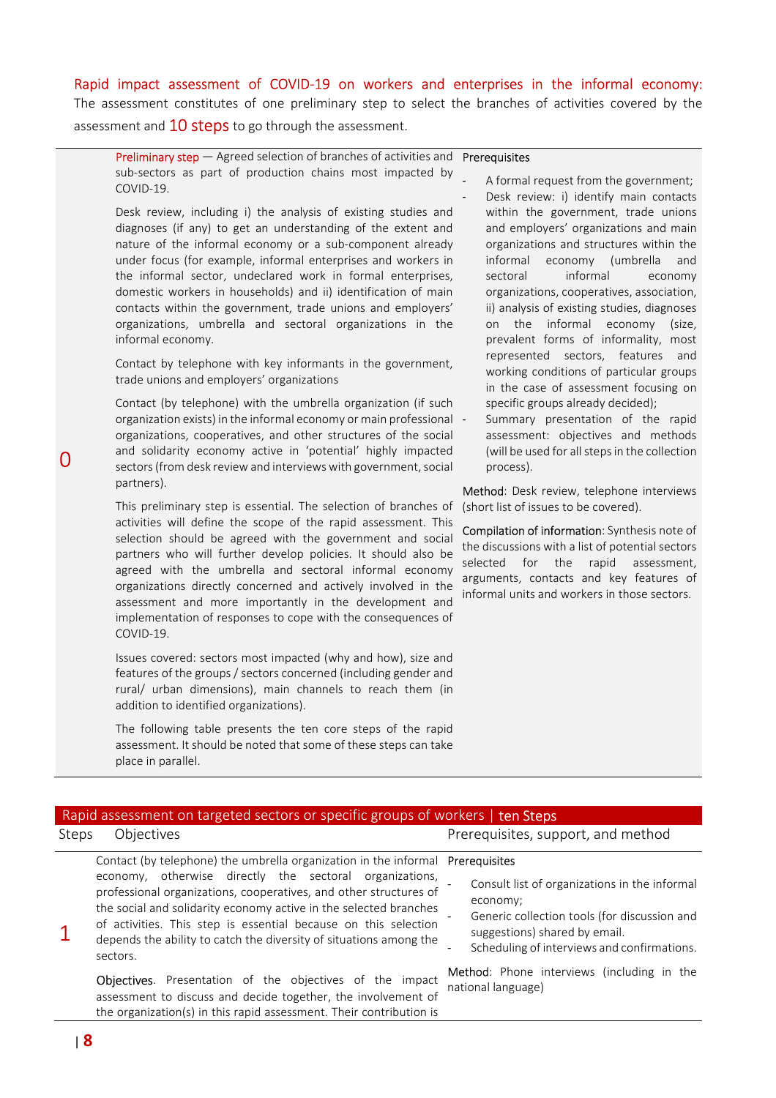### Rapid impact assessment of COVID-19 on workers and enterprises in the informal economy:

The assessment constitutes of one preliminary step to select the branches of activities covered by the assessment and **10 steps** to go through the assessment.

| <b>Preliminary step</b> $-$ Agreed selection of branches of activities and <b>Prerequisites</b> |                                 |
|-------------------------------------------------------------------------------------------------|---------------------------------|
| sub-sectors as part of production chains most impacted by                                       | A formal request from the gover |
| COVID-19.                                                                                       |                                 |

Desk review, including i) the analysis of existing studies and diagnoses (if any) to get an understanding of the extent and nature of the informal economy or a sub-component already under focus (for example, informal enterprises and workers in the informal sector, undeclared work in formal enterprises, domestic workers in households) and ii) identification of main contacts within the government, trade unions and employers' organizations, umbrella and sectoral organizations in the informal economy.

Contact by telephone with key informants in the government, trade unions and employers' organizations

Contact (by telephone) with the umbrella organization (if such organization exists) in the informal economy or main professional organizations, cooperatives, and other structures of the social and solidarity economy active in 'potential' highly impacted sectors (from desk review and interviews with government, social partners).

This preliminary step is essential. The selection of branches of activities will define the scope of the rapid assessment. This selection should be agreed with the government and social partners who will further develop policies. It should also be agreed with the umbrella and sectoral informal economy organizations directly concerned and actively involved in the assessment and more importantly in the development and implementation of responses to cope with the consequences of COVID-19.

Issues covered: sectors most impacted (why and how), size and features of the groups / sectors concerned (including gender and rural/ urban dimensions), main channels to reach them (in addition to identified organizations).

The following table presents the ten core steps of the rapid assessment. It should be noted that some of these steps can take place in parallel.

- rn ment: Desk review: i) identify main contacts within the government, trade unions and employers' organizations and main organizations and structures within the informal economy (umbrella and sectoral informal economy organizations, cooperatives, association, ii) analysis of existing studies, diagnoses on the informal economy (size, prevalent forms of informality, most represented sectors, features and working conditions of particular groups in the case of assessment focusing on specific groups already decided);
- Summary presentation of the rapid assessment: objectives and methods (will be used for all steps in the collection process).

Method: Desk review, telephone interviews (short list of issues to be covered).

Compilation of information: Synthesis note of the discussions with a list of potential sectors selected for the rapid assessment, arguments, contacts and key features of informal units and workers in those sectors.

|       | Rapid assessment on targeted sectors or specific groups of workers   ten Steps                                                                                                                                                                                                                                                                                                                                                                                                                                                                                               |                                                                                                                                                                                                                                                                      |
|-------|------------------------------------------------------------------------------------------------------------------------------------------------------------------------------------------------------------------------------------------------------------------------------------------------------------------------------------------------------------------------------------------------------------------------------------------------------------------------------------------------------------------------------------------------------------------------------|----------------------------------------------------------------------------------------------------------------------------------------------------------------------------------------------------------------------------------------------------------------------|
| Steps | Objectives                                                                                                                                                                                                                                                                                                                                                                                                                                                                                                                                                                   | Prerequisites, support, and method                                                                                                                                                                                                                                   |
|       | Contact (by telephone) the umbrella organization in the informal Prerequisites<br>economy, otherwise directly the sectoral organizations,<br>professional organizations, cooperatives, and other structures of<br>the social and solidarity economy active in the selected branches<br>of activities. This step is essential because on this selection<br>depends the ability to catch the diversity of situations among the<br>sectors.<br><b>Objectives.</b> Presentation of the objectives of the impact<br>assessment to discuss and decide together, the involvement of | Consult list of organizations in the informal<br>economy;<br>Generic collection tools (for discussion and<br>suggestions) shared by email.<br>Scheduling of interviews and confirmations.<br><b>Method:</b> Phone interviews (including in the<br>national language) |
|       | the organization(s) in this rapid assessment. Their contribution is                                                                                                                                                                                                                                                                                                                                                                                                                                                                                                          |                                                                                                                                                                                                                                                                      |

 $\Omega$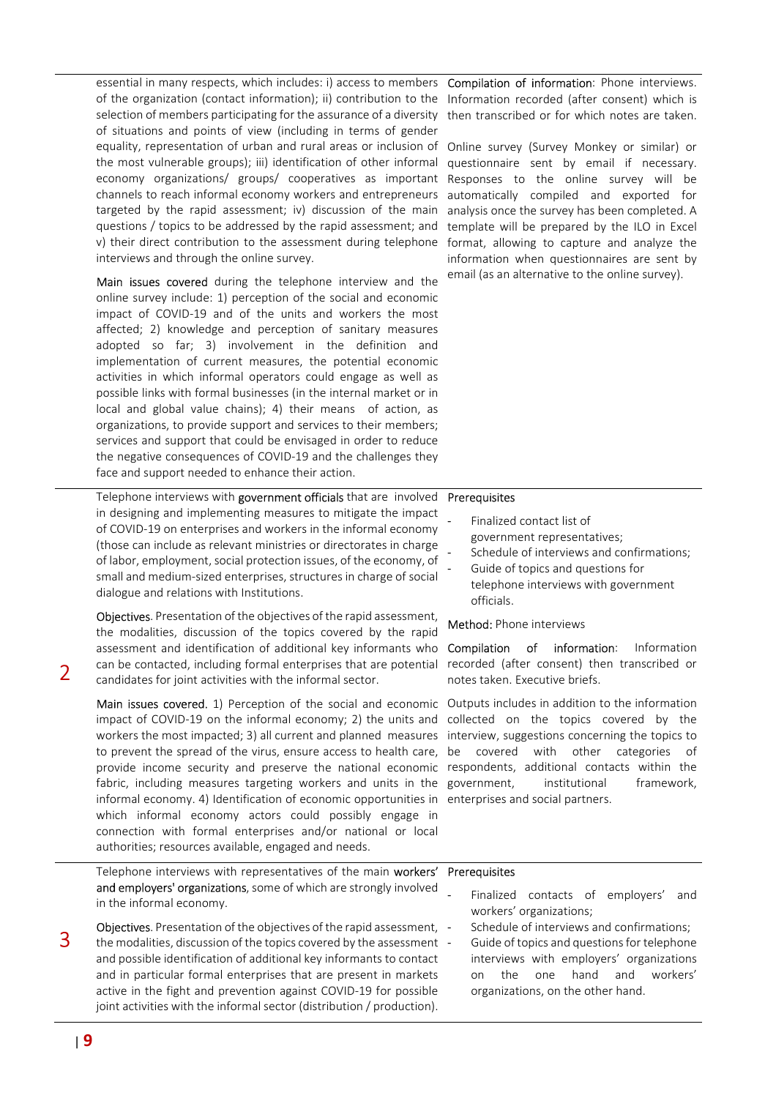essential in many respects, which includes: i) access to members of the organization (contact information); ii) contribution to the selection of members participating for the assurance of a diversity of situations and points of view (including in terms of gender equality, representation of urban and rural areas or inclusion of the most vulnerable groups); iii) identification of other informal economy organizations/ groups/ cooperatives as important channels to reach informal economy workers and entrepreneurs targeted by the rapid assessment; iv) discussion of the main questions / topics to be addressed by the rapid assessment; and v) their direct contribution to the assessment during telephone interviews and through the online survey.

Main issues covered during the telephone interview and the online survey include: 1) perception of the social and economic impact of COVID-19 and of the units and workers the most affected; 2) knowledge and perception of sanitary measures adopted so far; 3) involvement in the definition and implementation of current measures, the potential economic activities in which informal operators could engage as well as possible links with formal businesses (in the internal market or in local and global value chains); 4) their means of action, as organizations, to provide support and services to their members; services and support that could be envisaged in order to reduce the negative consequences of COVID-19 and the challenges they face and support needed to enhance their action.

in designing and implementing measures to mitigate the impact

Telephone interviews with government officials that are involved Prerequisites

Compilation of information: Phone interviews. Information recorded (after consent) which is then transcribed or for which notes are taken.

Online survey (Survey Monkey or similar) or questionnaire sent by email if necessary. Responses to the online survey will be automatically compiled and exported for analysis once the survey has been completed. A template will be prepared by the ILO in Excel format, allowing to capture and analyze the information when questionnaires are sent by email (as an alternative to the online survey).

| in designing and implementing measures to mitigate the impact<br>of COVID-19 on enterprises and workers in the informal economy<br>(those can include as relevant ministries or directorates in charge<br>of labor, employment, social protection issues, of the economy, of<br>small and medium-sized enterprises, structures in charge of social<br>dialogue and relations with Institutions.                                                                                                                                                                                                                                                                                                                                                                                                                                                                                                     | Finalized contact list of<br>government representatives;<br>Schedule of interviews and confirmations;<br>Guide of topics and questions for<br>telephone interviews with government<br>officials.                                                                                               |
|-----------------------------------------------------------------------------------------------------------------------------------------------------------------------------------------------------------------------------------------------------------------------------------------------------------------------------------------------------------------------------------------------------------------------------------------------------------------------------------------------------------------------------------------------------------------------------------------------------------------------------------------------------------------------------------------------------------------------------------------------------------------------------------------------------------------------------------------------------------------------------------------------------|------------------------------------------------------------------------------------------------------------------------------------------------------------------------------------------------------------------------------------------------------------------------------------------------|
| Objectives. Presentation of the objectives of the rapid assessment,<br>the modalities, discussion of the topics covered by the rapid<br>assessment and identification of additional key informants who<br>can be contacted, including formal enterprises that are potential<br>candidates for joint activities with the informal sector.                                                                                                                                                                                                                                                                                                                                                                                                                                                                                                                                                            | Method: Phone interviews<br>information:<br>Compilation<br>of<br>Information<br>recorded (after consent) then transcribed or<br>notes taken. Executive briefs.                                                                                                                                 |
| Main issues covered. 1) Perception of the social and economic Outputs includes in addition to the information<br>impact of COVID-19 on the informal economy; 2) the units and collected on the topics covered by the<br>workers the most impacted; 3) all current and planned measures interview, suggestions concerning the topics to<br>to prevent the spread of the virus, ensure access to health care, be covered<br>provide income security and preserve the national economic respondents, additional contacts within the<br>fabric, including measures targeting workers and units in the government,<br>informal economy. 4) Identification of economic opportunities in enterprises and social partners.<br>which informal economy actors could possibly engage in<br>connection with formal enterprises and/or national or local<br>authorities; resources available, engaged and needs. | with other categories<br>of<br>institutional<br>framework,                                                                                                                                                                                                                                     |
| Telephone interviews with representatives of the main workers' Prerequisites<br>and employers' organizations, some of which are strongly involved<br>in the informal economy.<br>Objectives. Presentation of the objectives of the rapid assessment, -<br>the modalities, discussion of the topics covered by the assessment -<br>and possible identification of additional key informants to contact<br>and in particular formal enterprises that are present in markets<br>active in the fight and prevention against COVID-19 for possible<br>joint activities with the informal sector (distribution / production).                                                                                                                                                                                                                                                                             | Finalized contacts of employers'<br>and<br>workers' organizations;<br>Schedule of interviews and confirmations;<br>Guide of topics and questions for telephone<br>interviews with employers' organizations<br>hand<br>workers'<br>the<br>one<br>and<br>on<br>organizations, on the other hand. |

3

 $\overline{\phantom{a}}$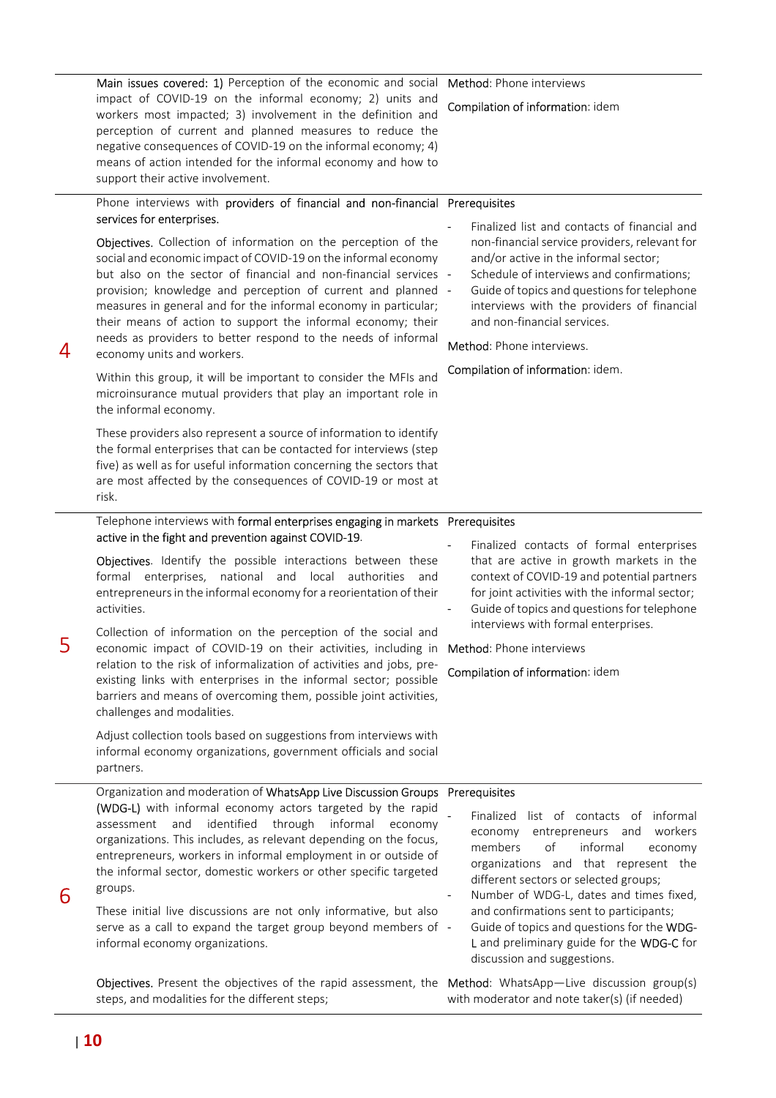|   | workers most impacted; 3) involvement in the definition and<br>perception of current and planned measures to reduce the<br>negative consequences of COVID-19 on the informal economy; 4)<br>means of action intended for the informal economy and how to<br>support their active involvement.                                                                                                                                                                                                                                                                                                                                                                                                                                                                                                                                                                                               | Compilation of information: idem                                                                                                                                                                                                                                                                                                                                                                                                                                           |
|---|---------------------------------------------------------------------------------------------------------------------------------------------------------------------------------------------------------------------------------------------------------------------------------------------------------------------------------------------------------------------------------------------------------------------------------------------------------------------------------------------------------------------------------------------------------------------------------------------------------------------------------------------------------------------------------------------------------------------------------------------------------------------------------------------------------------------------------------------------------------------------------------------|----------------------------------------------------------------------------------------------------------------------------------------------------------------------------------------------------------------------------------------------------------------------------------------------------------------------------------------------------------------------------------------------------------------------------------------------------------------------------|
| 4 | Phone interviews with providers of financial and non-financial Prerequisites<br>services for enterprises.<br>Objectives. Collection of information on the perception of the<br>social and economic impact of COVID-19 on the informal economy<br>but also on the sector of financial and non-financial services -<br>provision; knowledge and perception of current and planned -<br>measures in general and for the informal economy in particular;<br>their means of action to support the informal economy; their<br>needs as providers to better respond to the needs of informal<br>economy units and workers.<br>Within this group, it will be important to consider the MFIs and<br>microinsurance mutual providers that play an important role in<br>the informal economy.<br>These providers also represent a source of information to identify                                    | Finalized list and contacts of financial and<br>non-financial service providers, relevant for<br>and/or active in the informal sector;<br>Schedule of interviews and confirmations;<br>Guide of topics and questions for telephone<br>interviews with the providers of financial<br>and non-financial services.<br>Method: Phone interviews.<br>Compilation of information: idem.                                                                                          |
|   | the formal enterprises that can be contacted for interviews (step<br>five) as well as for useful information concerning the sectors that<br>are most affected by the consequences of COVID-19 or most at<br>risk.                                                                                                                                                                                                                                                                                                                                                                                                                                                                                                                                                                                                                                                                           |                                                                                                                                                                                                                                                                                                                                                                                                                                                                            |
| 5 | Telephone interviews with formal enterprises engaging in markets Prerequisites<br>active in the fight and prevention against COVID-19.<br>Objectives. Identify the possible interactions between these<br>formal enterprises, national and local authorities and<br>entrepreneurs in the informal economy for a reorientation of their<br>activities.<br>Collection of information on the perception of the social and<br>economic impact of COVID-19 on their activities, including in<br>relation to the risk of informalization of activities and jobs, pre-<br>existing links with enterprises in the informal sector; possible<br>barriers and means of overcoming them, possible joint activities,<br>challenges and modalities.<br>Adjust collection tools based on suggestions from interviews with<br>informal economy organizations, government officials and social<br>partners. | Finalized contacts of formal enterprises<br>that are active in growth markets in the<br>context of COVID-19 and potential partners<br>for joint activities with the informal sector;<br>Guide of topics and questions for telephone<br>interviews with formal enterprises.<br><b>Method:</b> Phone interviews<br>Compilation of information: idem                                                                                                                          |
| 6 | Organization and moderation of WhatsApp Live Discussion Groups Prerequisites<br>(WDG-L) with informal economy actors targeted by the rapid<br>through<br>informal<br>assessment<br>and<br>identified<br>economy<br>organizations. This includes, as relevant depending on the focus,<br>entrepreneurs, workers in informal employment in or outside of<br>the informal sector, domestic workers or other specific targeted<br>groups.<br>These initial live discussions are not only informative, but also<br>serve as a call to expand the target group beyond members of -<br>informal economy organizations.<br>Objectives. Present the objectives of the rapid assessment, the Method: WhatsApp-Live discussion group(s)<br>steps, and modalities for the different steps;                                                                                                              | Finalized list of contacts of informal<br>entrepreneurs and<br>workers<br>economy<br>members<br>οf<br>informal<br>economy<br>organizations and that represent the<br>different sectors or selected groups;<br>Number of WDG-L, dates and times fixed,<br>and confirmations sent to participants;<br>Guide of topics and questions for the WDG-<br>L and preliminary guide for the WDG-C for<br>discussion and suggestions.<br>with moderator and note taker(s) (if needed) |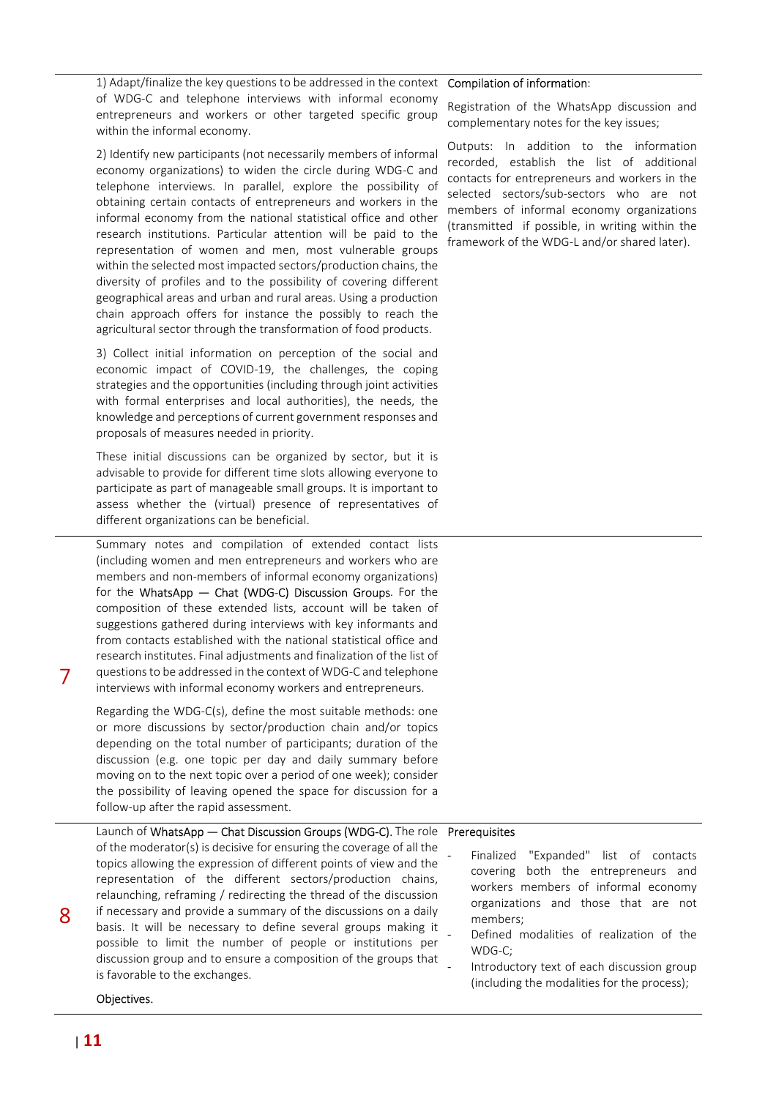1) Adapt/finalize the key questions to be addressed in the context of WDG-C and telephone interviews with informal economy entrepreneurs and workers or other targeted specific group within the informal economy.

2) Identify new participants (not necessarily members of informal economy organizations) to widen the circle during WDG-C and telephone interviews. In parallel, explore the possibility of obtaining certain contacts of entrepreneurs and workers in the informal economy from the national statistical office and other research institutions. Particular attention will be paid to the representation of women and men, most vulnerable groups within the selected most impacted sectors/production chains, the diversity of profiles and to the possibility of covering different geographical areas and urban and rural areas. Using a production chain approach offers for instance the possibly to reach the agricultural sector through the transformation of food products.

3) Collect initial information on perception of the social and economic impact of COVID-19, the challenges, the coping strategies and the opportunities (including through joint activities with formal enterprises and local authorities), the needs, the knowledge and perceptions of current government responses and proposals of measures needed in priority.

These initial discussions can be organized by sector, but it is advisable to provide for different time slots allowing everyone to participate as part of manageable small groups. It is important to assess whether the (virtual) presence of representatives of different organizations can be beneficial.

Summary notes and compilation of extended contact lists (including women and men entrepreneurs and workers who are members and non-members of informal economy organizations) for the WhatsApp — Chat (WDG-C) Discussion Groups. For the composition of these extended lists, account will be taken of suggestions gathered during interviews with key informants and from contacts established with the national statistical office and research institutes. Final adjustments and finalization of the list of questions to be addressed in the context of WDG-C and telephone interviews with informal economy workers and entrepreneurs.

Regarding the WDG-C(s), define the most suitable methods: one or more discussions by sector/production chain and/or topics depending on the total number of participants; duration of the discussion (e.g. one topic per day and daily summary before moving on to the next topic over a period of one week); consider the possibility of leaving opened the space for discussion for a follow-up after the rapid assessment.

Launch of WhatsApp — Chat Discussion Groups (WDG-C). The role of the moderator(s) is decisive for ensuring the coverage of all the topics allowing the expression of different points of view and the representation of the different sectors/production chains, relaunching, reframing / redirecting the thread of the discussion if necessary and provide a summary of the discussions on a daily basis. It will be necessary to define several groups making it possible to limit the number of people or institutions per discussion group and to ensure a composition of the groups that is favorable to the exchanges.

#### Compilation of information:

Registration of the WhatsApp discussion and complementary notes for the key issues;

Outputs: In addition to the information recorded, establish the list of additional contacts for entrepreneurs and workers in the selected sectors/sub-sectors who are not members of informal economy organizations (transmitted if possible, in writing within the framework of the WDG-L and/or shared later).

#### Prerequisites

Finalized "Expanded" list of contacts covering both the entrepreneurs and workers members of informal economy organizations and those that are not members;

- Defined modalities of realization of the WDG-C;
- Introductory text of each discussion group (including the modalities for the process);

Objectives.

8

7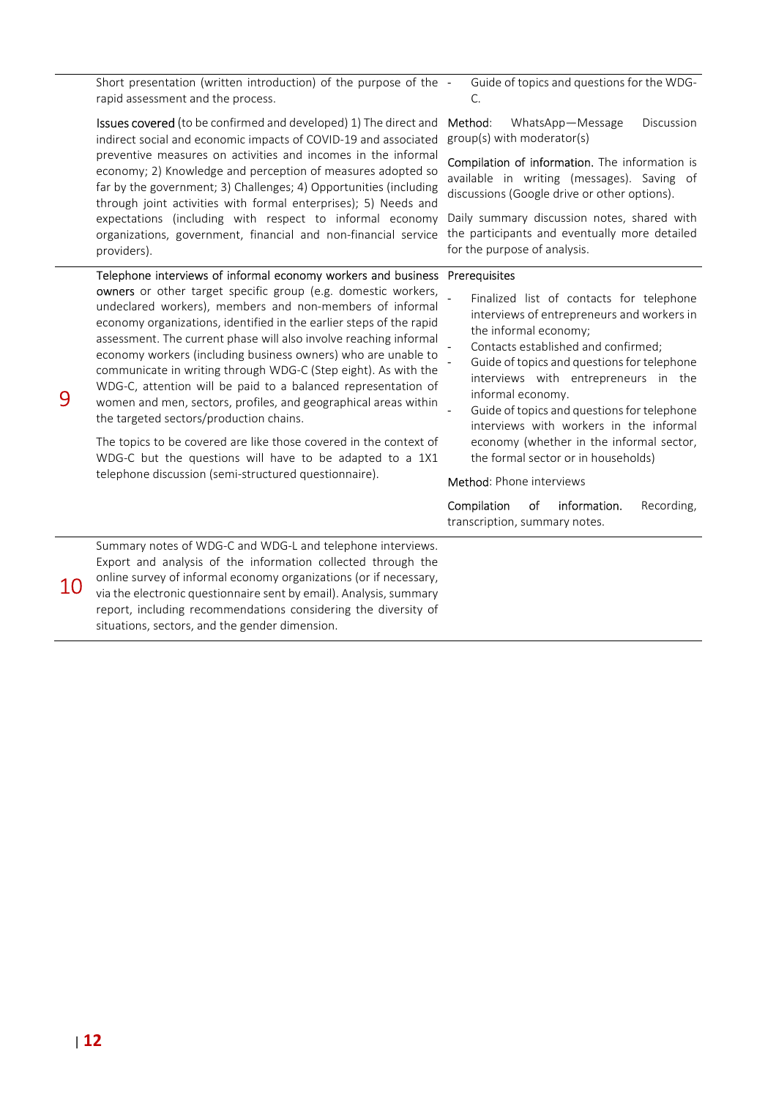Short presentation (written introduction) of the purpose of the rapid assessment and the process.

Issues covered (to be confirmed and developed) 1) The direct and Method: indirect social and economic impacts of COVID-19 and associated preventive measures on activities and incomes in the informal economy; 2) Knowledge and perception of measures adopted so far by the government; 3) Challenges; 4) Opportunities (including through joint activities with formal enterprises); 5) Needs and expectations (including with respect to informal economy Daily summary discussion notes, shared with organizations, government, financial and non-financial service the participants and eventually more detailed providers).

- Guide of topics and questions for the WDG- $\Gamma$ 

WhatsApp-Message Discussion group(s) with moderator(s)

Compilation of information. The information is available in writing (messages). Saving of discussions (Google drive or other options).

for the purpose of analysis.

#### Telephone interviews of informal economy workers and business Prerequisites

| 9  | <b>owners</b> or other target specific group (e.g. domestic workers,<br>undeclared workers), members and non-members of informal<br>economy organizations, identified in the earlier steps of the rapid<br>assessment. The current phase will also involve reaching informal<br>economy workers (including business owners) who are unable to<br>communicate in writing through WDG-C (Step eight). As with the<br>WDG-C, attention will be paid to a balanced representation of<br>women and men, sectors, profiles, and geographical areas within<br>the targeted sectors/production chains.<br>The topics to be covered are like those covered in the context of<br>WDG-C but the questions will have to be adapted to a 1X1<br>telephone discussion (semi-structured questionnaire). | Finalized list of contacts for telephone<br>interviews of entrepreneurs and workers in<br>the informal economy;<br>Contacts established and confirmed;<br>Guide of topics and questions for telephone<br>interviews with entrepreneurs in the<br>informal economy.<br>Guide of topics and questions for telephone<br>interviews with workers in the informal<br>economy (whether in the informal sector,<br>the formal sector or in households)<br><b>Method:</b> Phone interviews<br>information.<br>Compilation<br>Recording,<br>οf |
|----|------------------------------------------------------------------------------------------------------------------------------------------------------------------------------------------------------------------------------------------------------------------------------------------------------------------------------------------------------------------------------------------------------------------------------------------------------------------------------------------------------------------------------------------------------------------------------------------------------------------------------------------------------------------------------------------------------------------------------------------------------------------------------------------|---------------------------------------------------------------------------------------------------------------------------------------------------------------------------------------------------------------------------------------------------------------------------------------------------------------------------------------------------------------------------------------------------------------------------------------------------------------------------------------------------------------------------------------|
|    |                                                                                                                                                                                                                                                                                                                                                                                                                                                                                                                                                                                                                                                                                                                                                                                          | transcription, summary notes.                                                                                                                                                                                                                                                                                                                                                                                                                                                                                                         |
| 10 | Summary notes of WDG-C and WDG-L and telephone interviews.<br>Export and analysis of the information collected through the<br>online survey of informal economy organizations (or if necessary,<br>via the electronic questionnaire sent by email). Analysis, summary<br>report, including recommendations considering the diversity of<br>situations, sectors, and the gender dimension.                                                                                                                                                                                                                                                                                                                                                                                                |                                                                                                                                                                                                                                                                                                                                                                                                                                                                                                                                       |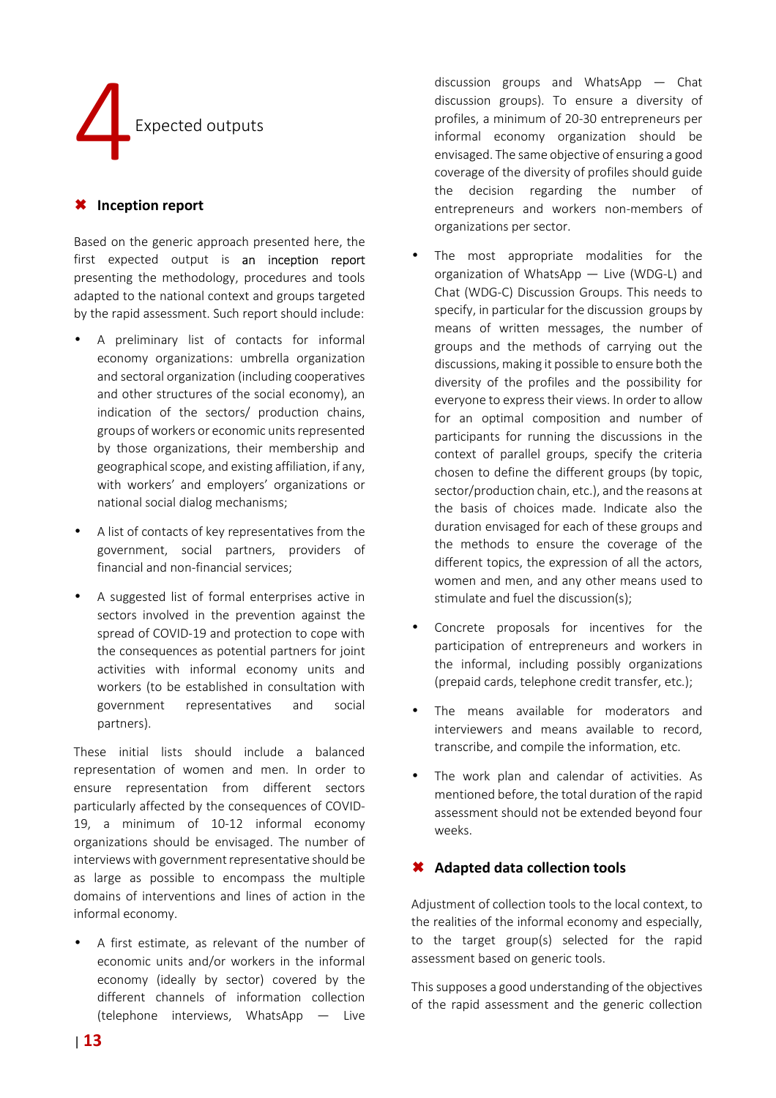

### **Inception report**

Based on the generic approach presented here, the first expected output is an inception report presenting the methodology, procedures and tools adapted to the national context and groups targeted by the rapid assessment. Such report should include:

- A preliminary list of contacts for informal economy organizations: umbrella organization and sectoral organization (including cooperatives and other structures of the social economy), an indication of the sectors/ production chains, groups of workers or economic units represented by those organizations, their membership and geographical scope, and existing affiliation, if any, with workers' and employers' organizations or national social dialog mechanisms;
- A list of contacts of key representatives from the government, social partners, providers of financial and non-financial services;
- A suggested list of formal enterprises active in sectors involved in the prevention against the spread of COVID-19 and protection to cope with the consequences as potential partners for joint activities with informal economy units and workers (to be established in consultation with government representatives and social partners).

These initial lists should include a balanced representation of women and men. In order to ensure representation from different sectors particularly affected by the consequences of COVID-19, a minimum of 10-12 informal economy organizations should be envisaged. The number of interviews with government representative should be as large as possible to encompass the multiple domains of interventions and lines of action in the informal economy.

• A first estimate, as relevant of the number of economic units and/or workers in the informal economy (ideally by sector) covered by the different channels of information collection (telephone interviews, WhatsApp — Live

discussion groups and WhatsApp — Chat discussion groups). To ensure a diversity of profiles, a minimum of 20-30 entrepreneurs per informal economy organization should be envisaged. The same objective of ensuring a good coverage of the diversity of profiles should guide the decision regarding the number of entrepreneurs and workers non-members of organizations per sector.

- The most appropriate modalities for the organization of WhatsApp — Live (WDG-L) and Chat (WDG-C) Discussion Groups. This needs to specify, in particular for the discussion groups by means of written messages, the number of groups and the methods of carrying out the discussions, making it possible to ensure both the diversity of the profiles and the possibility for everyone to express their views. In order to allow for an optimal composition and number of participants for running the discussions in the context of parallel groups, specify the criteria chosen to define the different groups (by topic, sector/production chain, etc.), and the reasons at the basis of choices made. Indicate also the duration envisaged for each of these groups and the methods to ensure the coverage of the different topics, the expression of all the actors, women and men, and any other means used to stimulate and fuel the discussion(s);
- Concrete proposals for incentives for the participation of entrepreneurs and workers in the informal, including possibly organizations (prepaid cards, telephone credit transfer, etc.);
- The means available for moderators and interviewers and means available to record, transcribe, and compile the information, etc.
- The work plan and calendar of activities. As mentioned before, the total duration of the rapid assessment should not be extended beyond four weeks.

# **Adapted data collection tools**

Adjustment of collection tools to the local context, to the realities of the informal economy and especially, to the target group(s) selected for the rapid assessment based on generic tools.

This supposes a good understanding of the objectives of the rapid assessment and the generic collection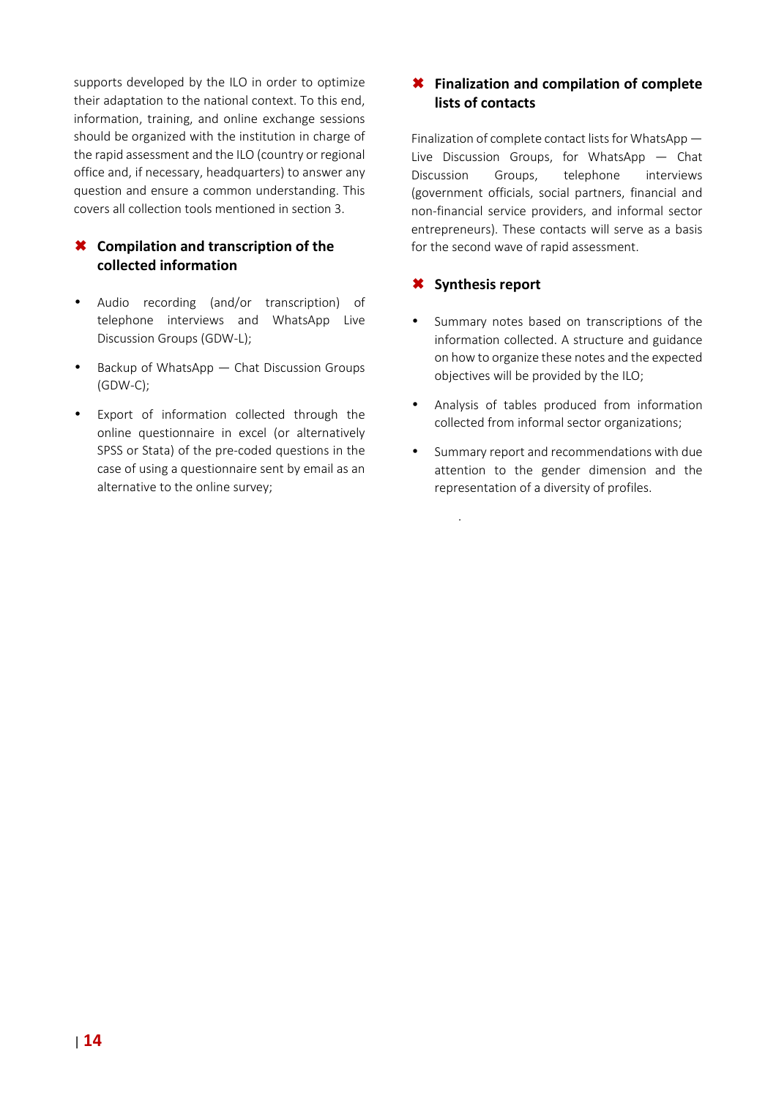supports developed by the ILO in order to optimize their adaptation to the national context. To this end, information, training, and online exchange sessions should be organized with the institution in charge of the rapid assessment and the ILO (country or regional office and, if necessary, headquarters) to answer any question and ensure a common understanding. This covers all collection tools mentioned in section 3.

# **Compilation and transcription of the collected information**

- Audio recording (and/or transcription) of telephone interviews and WhatsApp Live Discussion Groups (GDW-L);
- Backup of WhatsApp Chat Discussion Groups (GDW-C);
- Export of information collected through the online questionnaire in excel (or alternatively SPSS or Stata) of the pre-coded questions in the case of using a questionnaire sent by email as an alternative to the online survey;

# **Finalization and compilation of complete lists of contacts**

Finalization of complete contact lists for WhatsApp — Live Discussion Groups, for WhatsApp — Chat Discussion Groups, telephone interviews (government officials, social partners, financial and non-financial service providers, and informal sector entrepreneurs). These contacts will serve as a basis for the second wave of rapid assessment.

# **Synthesis report**

.

- Summary notes based on transcriptions of the information collected. A structure and guidance on how to organize these notes and the expected objectives will be provided by the ILO;
- Analysis of tables produced from information collected from informal sector organizations;
- Summary report and recommendations with due attention to the gender dimension and the representation of a diversity of profiles.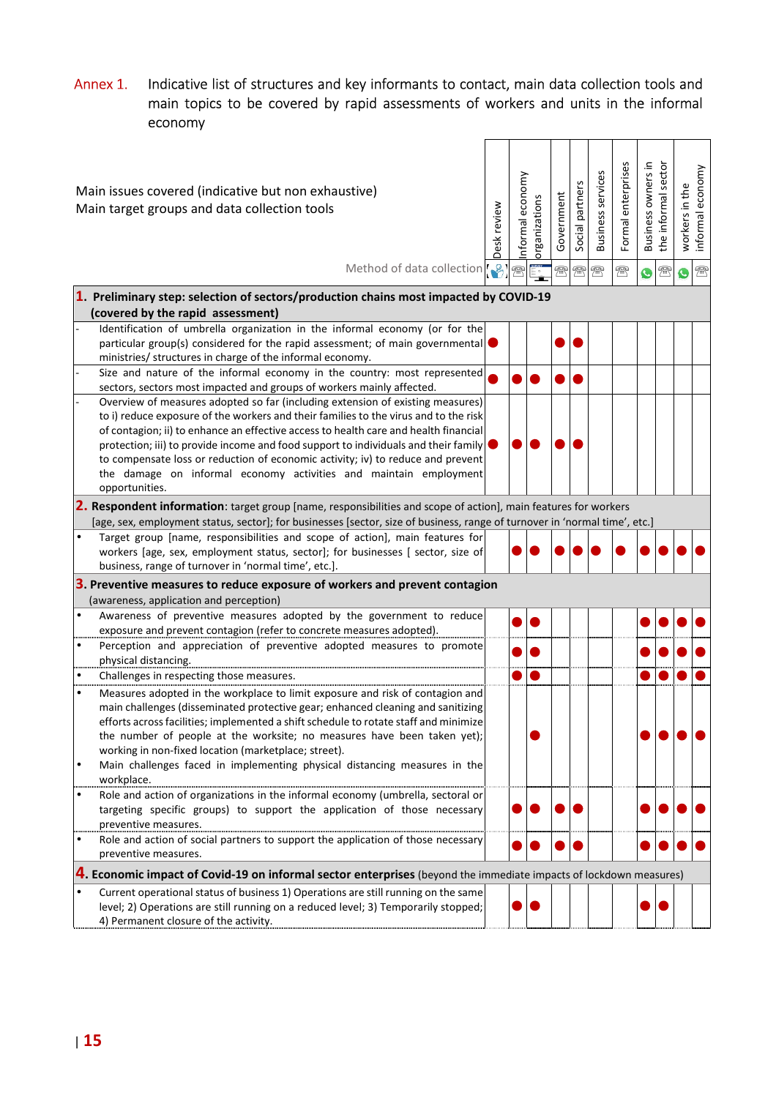# Annex 1. Indicative list of structures and key informants to contact, main data collection tools and main topics to be covered by rapid assessments of workers and units in the informal economy

| Main issues covered (indicative but non exhaustive)<br>Main target groups and data collection tools                                                                    | Desk review | economy<br>nformal | organizations | Government | Social partners | <b>Business services</b> | Formal enterprises | Business owners in | the informal sector | in the<br>workers | informal economy |
|------------------------------------------------------------------------------------------------------------------------------------------------------------------------|-------------|--------------------|---------------|------------|-----------------|--------------------------|--------------------|--------------------|---------------------|-------------------|------------------|
| Method of data collection [8]                                                                                                                                          |             | 梵                  |               | 焏          | 需               | $\mathbb{R}$             | $\mathbb{R}$       | $\bullet$          | $\mathbb{R}$        | G                 | $\circledR$      |
| 1. Preliminary step: selection of sectors/production chains most impacted by COVID-19                                                                                  |             |                    |               |            |                 |                          |                    |                    |                     |                   |                  |
| (covered by the rapid assessment)                                                                                                                                      |             |                    |               |            |                 |                          |                    |                    |                     |                   |                  |
| Identification of umbrella organization in the informal economy (or for the                                                                                            |             |                    |               |            |                 |                          |                    |                    |                     |                   |                  |
| particular group(s) considered for the rapid assessment; of main governmental                                                                                          |             |                    |               |            |                 |                          |                    |                    |                     |                   |                  |
| ministries/ structures in charge of the informal economy.                                                                                                              |             |                    |               |            |                 |                          |                    |                    |                     |                   |                  |
| Size and nature of the informal economy in the country: most represented                                                                                               |             |                    |               |            |                 |                          |                    |                    |                     |                   |                  |
| sectors, sectors most impacted and groups of workers mainly affected.                                                                                                  |             |                    |               |            |                 |                          |                    |                    |                     |                   |                  |
| Overview of measures adopted so far (including extension of existing measures)<br>to i) reduce exposure of the workers and their families to the virus and to the risk |             |                    |               |            |                 |                          |                    |                    |                     |                   |                  |
| of contagion; ii) to enhance an effective access to health care and health financial                                                                                   |             |                    |               |            |                 |                          |                    |                    |                     |                   |                  |
| protection; iii) to provide income and food support to individuals and their family                                                                                    |             |                    |               |            |                 |                          |                    |                    |                     |                   |                  |
| to compensate loss or reduction of economic activity; iv) to reduce and prevent                                                                                        |             |                    |               |            |                 |                          |                    |                    |                     |                   |                  |
| the damage on informal economy activities and maintain employment                                                                                                      |             |                    |               |            |                 |                          |                    |                    |                     |                   |                  |
| opportunities.                                                                                                                                                         |             |                    |               |            |                 |                          |                    |                    |                     |                   |                  |
| 2. Respondent information: target group [name, responsibilities and scope of action], main features for workers                                                        |             |                    |               |            |                 |                          |                    |                    |                     |                   |                  |
| [age, sex, employment status, sector]; for businesses [sector, size of business, range of turnover in 'normal time', etc.]                                             |             |                    |               |            |                 |                          |                    |                    |                     |                   |                  |
| $\bullet$<br>Target group [name, responsibilities and scope of action], main features for                                                                              |             |                    |               |            |                 |                          |                    |                    |                     |                   |                  |
| workers [age, sex, employment status, sector]; for businesses [ sector, size of                                                                                        |             |                    |               |            |                 |                          |                    |                    |                     |                   |                  |
| business, range of turnover in 'normal time', etc.].                                                                                                                   |             |                    |               |            |                 |                          |                    |                    |                     |                   |                  |
| 3. Preventive measures to reduce exposure of workers and prevent contagion                                                                                             |             |                    |               |            |                 |                          |                    |                    |                     |                   |                  |
| (awareness, application and perception)<br>$\bullet$<br>Awareness of preventive measures adopted by the government to reduce                                           |             |                    |               |            |                 |                          |                    |                    |                     |                   |                  |
| exposure and prevent contagion (refer to concrete measures adopted).                                                                                                   |             |                    |               |            |                 |                          |                    |                    |                     |                   |                  |
| Perception and appreciation of preventive adopted measures to promote<br>$\bullet$                                                                                     |             |                    |               |            |                 |                          |                    |                    |                     |                   |                  |
| physical distancing.                                                                                                                                                   |             |                    |               |            |                 |                          |                    |                    |                     |                   |                  |
| Challenges in respecting those measures.<br>$\bullet$                                                                                                                  |             |                    |               |            |                 |                          |                    |                    |                     |                   |                  |
| Measures adopted in the workplace to limit exposure and risk of contagion and<br>$\bullet$                                                                             |             |                    |               |            |                 |                          |                    |                    |                     |                   |                  |
| main challenges (disseminated protective gear; enhanced cleaning and sanitizing                                                                                        |             |                    |               |            |                 |                          |                    |                    |                     |                   |                  |
| efforts across facilities; implemented a shift schedule to rotate staff and minimize                                                                                   |             |                    |               |            |                 |                          |                    |                    |                     |                   |                  |
| the number of people at the worksite; no measures have been taken yet);                                                                                                |             |                    |               |            |                 |                          |                    |                    |                     |                   |                  |
| working in non-fixed location (marketplace; street).                                                                                                                   |             |                    |               |            |                 |                          |                    |                    |                     |                   |                  |
| Main challenges faced in implementing physical distancing measures in the<br>$\bullet$                                                                                 |             |                    |               |            |                 |                          |                    |                    |                     |                   |                  |
| workplace.<br>Role and action of organizations in the informal economy (umbrella, sectoral or<br>$\bullet$                                                             |             |                    |               |            |                 |                          |                    |                    |                     |                   |                  |
| targeting specific groups) to support the application of those necessary                                                                                               |             |                    |               |            |                 |                          |                    |                    |                     |                   |                  |
| preventive measures.                                                                                                                                                   |             |                    |               |            |                 |                          |                    |                    |                     |                   |                  |
| Role and action of social partners to support the application of those necessary<br>$\bullet$                                                                          |             |                    |               |            |                 |                          |                    |                    |                     |                   |                  |
| preventive measures.                                                                                                                                                   |             |                    |               |            |                 |                          |                    |                    |                     |                   |                  |
| 4. Economic impact of Covid-19 on informal sector enterprises (beyond the immediate impacts of lockdown measures)                                                      |             |                    |               |            |                 |                          |                    |                    |                     |                   |                  |
| Current operational status of business 1) Operations are still running on the same<br>٠                                                                                |             |                    |               |            |                 |                          |                    |                    |                     |                   |                  |
| level; 2) Operations are still running on a reduced level; 3) Temporarily stopped;                                                                                     |             |                    |               |            |                 |                          |                    |                    |                     |                   |                  |
| 4) Permanent closure of the activity.                                                                                                                                  |             |                    |               |            |                 |                          |                    |                    |                     |                   |                  |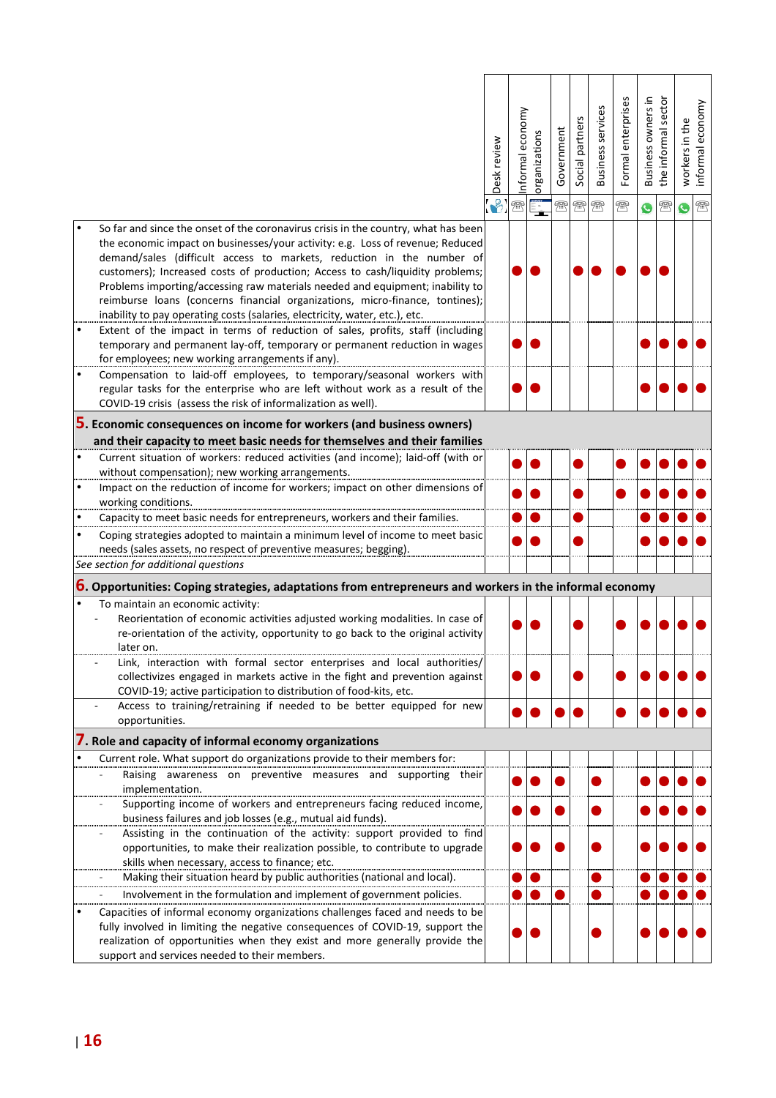|                                                                                                                                                                                                                                                                                                                                                                                                                                                                                                                                                                                | Desk review | economy<br>nformal | organizations | Government   | Social partners | <b>Business services</b> | Formal enterprises | Business owners in | the informal sector | workers in the | nformal economy |
|--------------------------------------------------------------------------------------------------------------------------------------------------------------------------------------------------------------------------------------------------------------------------------------------------------------------------------------------------------------------------------------------------------------------------------------------------------------------------------------------------------------------------------------------------------------------------------|-------------|--------------------|---------------|--------------|-----------------|--------------------------|--------------------|--------------------|---------------------|----------------|-----------------|
|                                                                                                                                                                                                                                                                                                                                                                                                                                                                                                                                                                                |             | 梵                  |               | $\mathbb{R}$ | $\mathbb{R}$    | 需                        | 需                  | G                  | $\mathbb{R}$        | C.             | $\circledR$     |
| So far and since the onset of the coronavirus crisis in the country, what has been<br>the economic impact on businesses/your activity: e.g. Loss of revenue; Reduced<br>demand/sales (difficult access to markets, reduction in the number of<br>customers); Increased costs of production; Access to cash/liquidity problems;<br>Problems importing/accessing raw materials needed and equipment; inability to<br>reimburse loans (concerns financial organizations, micro-finance, tontines);<br>inability to pay operating costs (salaries, electricity, water, etc.), etc. |             |                    |               |              |                 |                          |                    |                    |                     |                |                 |
| Extent of the impact in terms of reduction of sales, profits, staff (including<br>temporary and permanent lay-off, temporary or permanent reduction in wages                                                                                                                                                                                                                                                                                                                                                                                                                   |             |                    |               |              |                 |                          |                    |                    |                     |                |                 |
| for employees; new working arrangements if any).<br>Compensation to laid-off employees, to temporary/seasonal workers with<br>$\bullet$                                                                                                                                                                                                                                                                                                                                                                                                                                        |             |                    |               |              |                 |                          |                    |                    |                     |                |                 |
| regular tasks for the enterprise who are left without work as a result of the<br>COVID-19 crisis (assess the risk of informalization as well).                                                                                                                                                                                                                                                                                                                                                                                                                                 |             |                    |               |              |                 |                          |                    |                    |                     |                |                 |
| 5. Economic consequences on income for workers (and business owners)                                                                                                                                                                                                                                                                                                                                                                                                                                                                                                           |             |                    |               |              |                 |                          |                    |                    |                     |                |                 |
| and their capacity to meet basic needs for themselves and their families                                                                                                                                                                                                                                                                                                                                                                                                                                                                                                       |             |                    |               |              |                 |                          |                    |                    |                     |                |                 |
| Current situation of workers: reduced activities (and income); laid-off (with or<br>$\bullet$                                                                                                                                                                                                                                                                                                                                                                                                                                                                                  |             |                    |               |              |                 |                          |                    |                    |                     |                |                 |
| without compensation); new working arrangements.                                                                                                                                                                                                                                                                                                                                                                                                                                                                                                                               |             |                    |               |              |                 |                          |                    |                    |                     |                |                 |
| Impact on the reduction of income for workers; impact on other dimensions of<br>working conditions.                                                                                                                                                                                                                                                                                                                                                                                                                                                                            |             |                    |               |              |                 |                          |                    |                    |                     |                |                 |
| Capacity to meet basic needs for entrepreneurs, workers and their families.                                                                                                                                                                                                                                                                                                                                                                                                                                                                                                    |             |                    |               |              |                 |                          |                    |                    |                     |                |                 |
| Coping strategies adopted to maintain a minimum level of income to meet basic                                                                                                                                                                                                                                                                                                                                                                                                                                                                                                  |             |                    |               |              |                 |                          |                    |                    |                     |                |                 |
| needs (sales assets, no respect of preventive measures; begging).                                                                                                                                                                                                                                                                                                                                                                                                                                                                                                              |             |                    |               |              |                 |                          |                    |                    |                     |                |                 |
| See section for additional questions                                                                                                                                                                                                                                                                                                                                                                                                                                                                                                                                           |             |                    |               |              |                 |                          |                    |                    |                     |                |                 |
| 6. Opportunities: Coping strategies, adaptations from entrepreneurs and workers in the informal economy                                                                                                                                                                                                                                                                                                                                                                                                                                                                        |             |                    |               |              |                 |                          |                    |                    |                     |                |                 |
| To maintain an economic activity:                                                                                                                                                                                                                                                                                                                                                                                                                                                                                                                                              |             |                    |               |              |                 |                          |                    |                    |                     |                |                 |
| Reorientation of economic activities adjusted working modalities. In case of<br>re-orientation of the activity, opportunity to go back to the original activity<br>later on.                                                                                                                                                                                                                                                                                                                                                                                                   |             |                    |               |              |                 |                          |                    |                    |                     |                |                 |
| Link, interaction with formal sector enterprises and local authorities/<br>collectivizes engaged in markets active in the fight and prevention against                                                                                                                                                                                                                                                                                                                                                                                                                         |             |                    |               |              |                 |                          |                    |                    |                     |                |                 |
| COVID-19; active participation to distribution of food-kits, etc.<br>Access to training/retraining if needed to be better equipped for new                                                                                                                                                                                                                                                                                                                                                                                                                                     |             |                    |               |              |                 |                          |                    |                    |                     |                |                 |
| opportunities.                                                                                                                                                                                                                                                                                                                                                                                                                                                                                                                                                                 |             |                    |               |              |                 |                          |                    |                    |                     |                |                 |
| 7. Role and capacity of informal economy organizations                                                                                                                                                                                                                                                                                                                                                                                                                                                                                                                         |             |                    |               |              |                 |                          |                    |                    |                     |                |                 |
| Current role. What support do organizations provide to their members for:                                                                                                                                                                                                                                                                                                                                                                                                                                                                                                      |             |                    |               |              |                 |                          |                    |                    |                     |                |                 |
| Raising awareness on preventive measures and supporting their                                                                                                                                                                                                                                                                                                                                                                                                                                                                                                                  |             |                    |               |              |                 |                          |                    |                    |                     |                |                 |
| implementation.                                                                                                                                                                                                                                                                                                                                                                                                                                                                                                                                                                |             |                    |               |              |                 |                          |                    |                    |                     |                |                 |
| Supporting income of workers and entrepreneurs facing reduced income,<br>business failures and job losses (e.g., mutual aid funds).                                                                                                                                                                                                                                                                                                                                                                                                                                            |             |                    |               |              |                 |                          |                    |                    |                     |                |                 |
| Assisting in the continuation of the activity: support provided to find                                                                                                                                                                                                                                                                                                                                                                                                                                                                                                        |             |                    |               |              |                 |                          |                    |                    |                     |                |                 |
| opportunities, to make their realization possible, to contribute to upgrade                                                                                                                                                                                                                                                                                                                                                                                                                                                                                                    |             |                    |               |              |                 |                          |                    |                    |                     |                |                 |
| skills when necessary, access to finance; etc.                                                                                                                                                                                                                                                                                                                                                                                                                                                                                                                                 |             |                    |               |              |                 |                          |                    |                    |                     |                |                 |
| Making their situation heard by public authorities (national and local).                                                                                                                                                                                                                                                                                                                                                                                                                                                                                                       |             |                    |               |              |                 |                          |                    |                    |                     |                |                 |
| Involvement in the formulation and implement of government policies.                                                                                                                                                                                                                                                                                                                                                                                                                                                                                                           |             |                    |               |              |                 |                          |                    |                    |                     |                |                 |
| Capacities of informal economy organizations challenges faced and needs to be<br>fully involved in limiting the negative consequences of COVID-19, support the                                                                                                                                                                                                                                                                                                                                                                                                                 |             |                    |               |              |                 |                          |                    |                    |                     |                |                 |
| realization of opportunities when they exist and more generally provide the                                                                                                                                                                                                                                                                                                                                                                                                                                                                                                    |             |                    |               |              |                 |                          |                    |                    |                     |                |                 |
| support and services needed to their members.                                                                                                                                                                                                                                                                                                                                                                                                                                                                                                                                  |             |                    |               |              |                 |                          |                    |                    |                     |                |                 |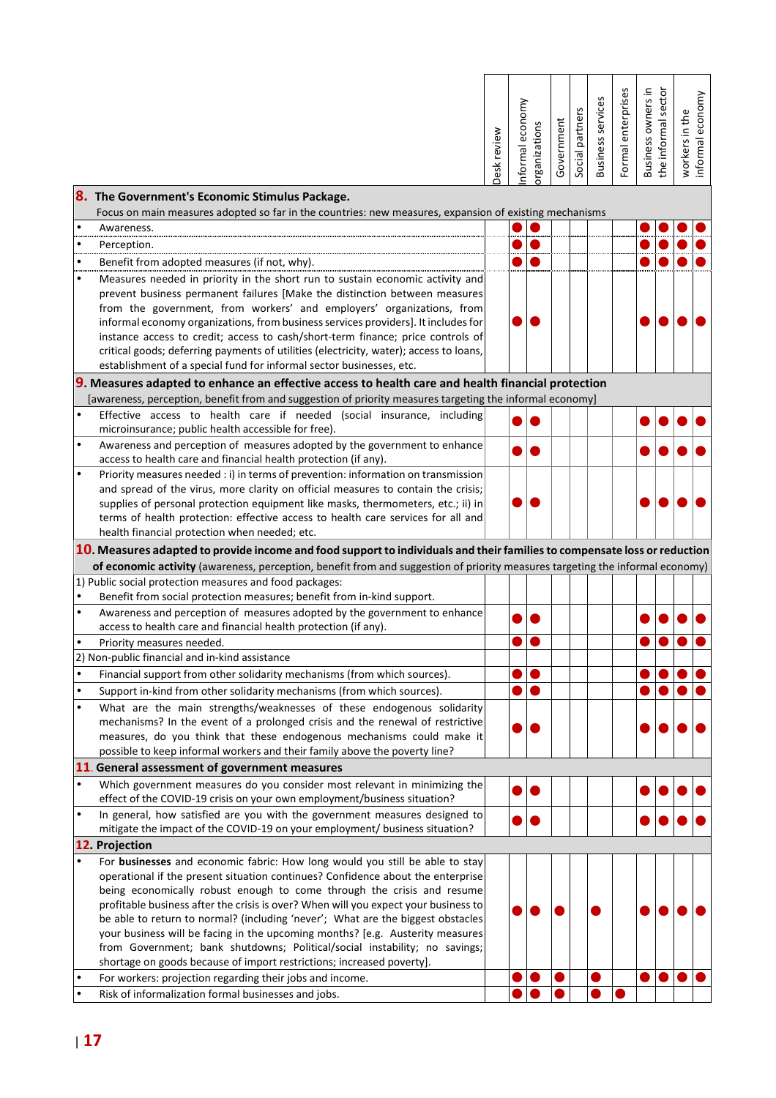| 8.               | The Government's Economic Stimulus Package.                                                                                                                                                                                                                                                                                                                                                                                                                                                                                                                                                                                                                 | Desk review | nformal economy | organizations | Government | Social partners | <b>Business services</b> | Formal enterprises | Business owners in | the informal sector | workers in the<br>informal economy |
|------------------|-------------------------------------------------------------------------------------------------------------------------------------------------------------------------------------------------------------------------------------------------------------------------------------------------------------------------------------------------------------------------------------------------------------------------------------------------------------------------------------------------------------------------------------------------------------------------------------------------------------------------------------------------------------|-------------|-----------------|---------------|------------|-----------------|--------------------------|--------------------|--------------------|---------------------|------------------------------------|
|                  | Focus on main measures adopted so far in the countries: new measures, expansion of existing mechanisms                                                                                                                                                                                                                                                                                                                                                                                                                                                                                                                                                      |             |                 |               |            |                 |                          |                    |                    |                     |                                    |
| $\bullet$        | Awareness.                                                                                                                                                                                                                                                                                                                                                                                                                                                                                                                                                                                                                                                  |             |                 |               |            |                 |                          |                    |                    |                     |                                    |
| $\bullet$        | Perception.                                                                                                                                                                                                                                                                                                                                                                                                                                                                                                                                                                                                                                                 |             |                 |               |            |                 |                          |                    |                    |                     |                                    |
| $\bullet$        | Benefit from adopted measures (if not, why).                                                                                                                                                                                                                                                                                                                                                                                                                                                                                                                                                                                                                |             |                 |               |            |                 |                          |                    |                    |                     |                                    |
| mmu<br>$\bullet$ | Measures needed in priority in the short run to sustain economic activity and<br>prevent business permanent failures [Make the distinction between measures<br>from the government, from workers' and employers' organizations, from<br>informal economy organizations, from business services providers]. It includes for<br>instance access to credit; access to cash/short-term finance; price controls of<br>critical goods; deferring payments of utilities (electricity, water); access to loans,<br>establishment of a special fund for informal sector businesses, etc.                                                                             |             |                 |               |            |                 |                          |                    |                    |                     |                                    |
|                  | 9. Measures adapted to enhance an effective access to health care and health financial protection                                                                                                                                                                                                                                                                                                                                                                                                                                                                                                                                                           |             |                 |               |            |                 |                          |                    |                    |                     |                                    |
|                  | [awareness, perception, benefit from and suggestion of priority measures targeting the informal economy]                                                                                                                                                                                                                                                                                                                                                                                                                                                                                                                                                    |             |                 |               |            |                 |                          |                    |                    |                     |                                    |
| $\bullet$        | Effective access to health care if needed (social insurance, including                                                                                                                                                                                                                                                                                                                                                                                                                                                                                                                                                                                      |             |                 |               |            |                 |                          |                    |                    |                     |                                    |
|                  | microinsurance; public health accessible for free).                                                                                                                                                                                                                                                                                                                                                                                                                                                                                                                                                                                                         |             |                 |               |            |                 |                          |                    |                    |                     |                                    |
| $\bullet$        | Awareness and perception of measures adopted by the government to enhance<br>access to health care and financial health protection (if any).                                                                                                                                                                                                                                                                                                                                                                                                                                                                                                                |             |                 |               |            |                 |                          |                    |                    |                     |                                    |
| $\bullet$        | Priority measures needed : i) in terms of prevention: information on transmission<br>and spread of the virus, more clarity on official measures to contain the crisis;<br>supplies of personal protection equipment like masks, thermometers, etc.; ii) in<br>terms of health protection: effective access to health care services for all and                                                                                                                                                                                                                                                                                                              |             |                 |               |            |                 |                          |                    |                    |                     |                                    |
|                  | health financial protection when needed; etc.                                                                                                                                                                                                                                                                                                                                                                                                                                                                                                                                                                                                               |             |                 |               |            |                 |                          |                    |                    |                     |                                    |
|                  | 10. Measures adapted to provide income and food support to individuals and their families to compensate loss or reduction<br>of economic activity (awareness, perception, benefit from and suggestion of priority measures targeting the informal economy)<br>1) Public social protection measures and food packages:                                                                                                                                                                                                                                                                                                                                       |             |                 |               |            |                 |                          |                    |                    |                     |                                    |
|                  | Benefit from social protection measures; benefit from in-kind support.                                                                                                                                                                                                                                                                                                                                                                                                                                                                                                                                                                                      |             |                 |               |            |                 |                          |                    |                    |                     |                                    |
| $\bullet$        | Awareness and perception of measures adopted by the government to enhance                                                                                                                                                                                                                                                                                                                                                                                                                                                                                                                                                                                   |             |                 |               |            |                 |                          |                    |                    |                     |                                    |
|                  | access to health care and financial health protection (if any).                                                                                                                                                                                                                                                                                                                                                                                                                                                                                                                                                                                             |             |                 |               |            |                 |                          |                    |                    |                     |                                    |
|                  | Priority measures needed.                                                                                                                                                                                                                                                                                                                                                                                                                                                                                                                                                                                                                                   |             |                 |               |            |                 |                          |                    |                    |                     |                                    |
|                  | 2) Non-public financial and in-kind assistance                                                                                                                                                                                                                                                                                                                                                                                                                                                                                                                                                                                                              |             |                 |               |            |                 |                          |                    |                    |                     |                                    |
|                  | Financial support from other solidarity mechanisms (from which sources).                                                                                                                                                                                                                                                                                                                                                                                                                                                                                                                                                                                    |             |                 |               |            |                 |                          |                    |                    |                     |                                    |
| $\bullet$        | Support in-kind from other solidarity mechanisms (from which sources).                                                                                                                                                                                                                                                                                                                                                                                                                                                                                                                                                                                      |             |                 |               |            |                 |                          |                    |                    |                     |                                    |
| $\bullet$        | What are the main strengths/weaknesses of these endogenous solidarity<br>mechanisms? In the event of a prolonged crisis and the renewal of restrictive<br>measures, do you think that these endogenous mechanisms could make it<br>possible to keep informal workers and their family above the poverty line?                                                                                                                                                                                                                                                                                                                                               |             |                 |               |            |                 |                          |                    |                    |                     |                                    |
|                  | 11. General assessment of government measures                                                                                                                                                                                                                                                                                                                                                                                                                                                                                                                                                                                                               |             |                 |               |            |                 |                          |                    |                    |                     |                                    |
| $\bullet$        | Which government measures do you consider most relevant in minimizing the<br>effect of the COVID-19 crisis on your own employment/business situation?                                                                                                                                                                                                                                                                                                                                                                                                                                                                                                       |             |                 |               |            |                 |                          |                    |                    |                     |                                    |
| $\bullet$        | In general, how satisfied are you with the government measures designed to<br>mitigate the impact of the COVID-19 on your employment/ business situation?                                                                                                                                                                                                                                                                                                                                                                                                                                                                                                   |             |                 |               |            |                 |                          |                    |                    |                     |                                    |
|                  | 12. Projection                                                                                                                                                                                                                                                                                                                                                                                                                                                                                                                                                                                                                                              |             |                 |               |            |                 |                          |                    |                    |                     |                                    |
| $\bullet$        | For businesses and economic fabric: How long would you still be able to stay<br>operational if the present situation continues? Confidence about the enterprise<br>being economically robust enough to come through the crisis and resume<br>profitable business after the crisis is over? When will you expect your business to<br>be able to return to normal? (including 'never'; What are the biggest obstacles<br>your business will be facing in the upcoming months? [e.g. Austerity measures<br>from Government; bank shutdowns; Political/social instability; no savings;<br>shortage on goods because of import restrictions; increased poverty]. |             |                 |               |            |                 |                          |                    |                    |                     |                                    |
|                  | For workers: projection regarding their jobs and income.                                                                                                                                                                                                                                                                                                                                                                                                                                                                                                                                                                                                    |             |                 |               |            |                 |                          |                    |                    |                     |                                    |
| $\bullet$        | Risk of informalization formal businesses and jobs.                                                                                                                                                                                                                                                                                                                                                                                                                                                                                                                                                                                                         |             |                 |               |            |                 |                          |                    |                    |                     |                                    |